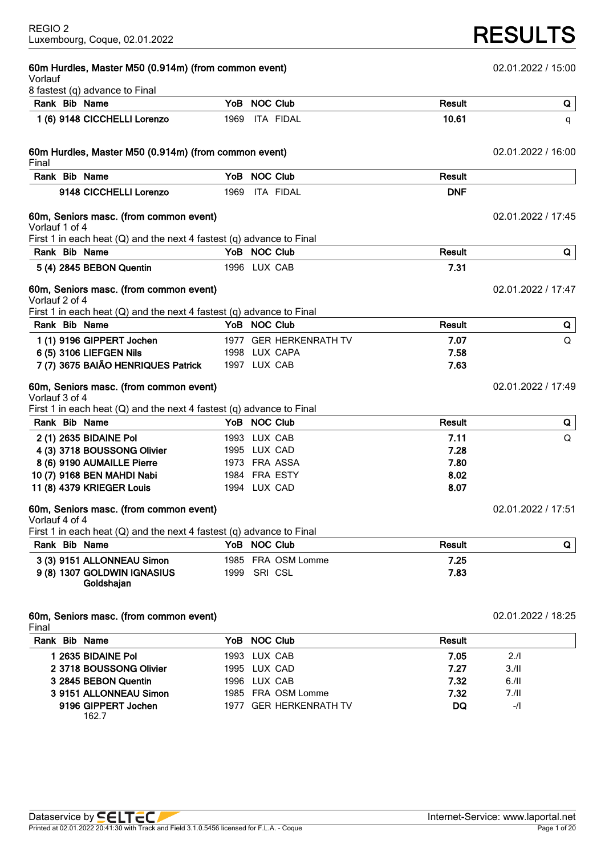| 60m Hurdles, Master M50 (0.914m) (from common event)<br>Vorlauf          |      | 02.01.2022 / 15:00 |                        |               |                    |
|--------------------------------------------------------------------------|------|--------------------|------------------------|---------------|--------------------|
| 8 fastest (q) advance to Final                                           |      |                    |                        |               |                    |
| Rank Bib Name                                                            |      | YoB NOC Club       |                        | Result        | Q                  |
| 1 (6) 9148 CICCHELLI Lorenzo                                             | 1969 |                    | ITA FIDAL              | 10.61         | q                  |
| 60m Hurdles, Master M50 (0.914m) (from common event)<br>Final            |      |                    |                        |               | 02.01.2022 / 16:00 |
| Rank Bib Name                                                            |      | YoB NOC Club       |                        | Result        |                    |
| 9148 CICCHELLI Lorenzo                                                   | 1969 |                    | <b>ITA FIDAL</b>       | <b>DNF</b>    |                    |
| 60m, Seniors masc. (from common event)<br>Vorlauf 1 of 4                 |      |                    |                        |               | 02.01.2022 / 17:45 |
| First 1 in each heat $(Q)$ and the next 4 fastest $(q)$ advance to Final |      |                    |                        |               |                    |
| Rank Bib Name                                                            |      | YoB NOC Club       |                        | <b>Result</b> | Q                  |
| 5 (4) 2845 BEBON Quentin                                                 |      | 1996 LUX CAB       |                        | 7.31          |                    |
| 60m, Seniors masc. (from common event)<br>Vorlauf 2 of 4                 |      |                    |                        |               | 02.01.2022 / 17:47 |
| First 1 in each heat $(Q)$ and the next 4 fastest $(q)$ advance to Final |      |                    |                        |               |                    |
| Rank Bib Name                                                            |      | YoB NOC Club       |                        | Result        | Q                  |
| 1 (1) 9196 GIPPERT Jochen                                                |      |                    | 1977 GER HERKENRATH TV | 7.07          | $\Omega$           |
| 6 (5) 3106 LIEFGEN Nils                                                  |      |                    | 1998 LUX CAPA          | 7.58          |                    |
| 7 (7) 3675 BAIÃO HENRIQUES Patrick                                       |      | 1997 LUX CAB       |                        | 7.63          |                    |
| 60m, Seniors masc. (from common event)<br>Vorlauf 3 of 4                 |      |                    |                        |               | 02.01.2022 / 17:49 |
| First 1 in each heat $(Q)$ and the next 4 fastest $(q)$ advance to Final |      |                    |                        |               |                    |
| Rank Bib Name                                                            |      | YoB NOC Club       |                        | <b>Result</b> | Q                  |
| 2 (1) 2635 BIDAINE Pol                                                   |      | 1993 LUX CAB       |                        | 7.11          | $\Omega$           |
| 4 (3) 3718 BOUSSONG Olivier                                              |      | 1995 LUX CAD       |                        | 7.28          |                    |
| 8 (6) 9190 AUMAILLE Pierre                                               |      |                    | 1973 FRA ASSA          | 7.80          |                    |
| 10 (7) 9168 BEN MAHDI Nabi                                               |      |                    | 1984 FRA ESTY          | 8.02          |                    |
| 11 (8) 4379 KRIEGER Louis                                                |      | 1994 LUX CAD       |                        | 8.07          |                    |
| 60m, Seniors masc. (from common event)<br>Vorlauf 4 of 4                 |      |                    |                        |               | 02.01.2022 / 17:51 |
| First 1 in each heat $(Q)$ and the next 4 fastest $(q)$ advance to Final |      |                    |                        |               |                    |
| Rank Bib Name                                                            |      | YoB NOC Club       |                        | Result        | Q                  |
| 3 (3) 9151 ALLONNEAU Simon                                               |      |                    | 1985 FRA OSM Lomme     | 7.25          |                    |
| 9 (8) 1307 GOLDWIN IGNASIUS<br>Goldshajan                                |      | 1999 SRI CSL       |                        | 7.83          |                    |
| 60m, Seniors masc. (from common event)                                   |      |                    |                        |               | 02.01.2022 / 18:25 |

**Rank Bib Name YoB NOC Club Result**

**3 2845 BEBON Quentin** 1996 LUX CAB **7.32** 6./II

**1 2635 BIDAINE Pol** 1993 LUX CAB **7.05** 2./I **2 3718 BOUSSONG Olivier** 1995 LUX CAD **7.27** 3./II

**3 9151 ALLONNEAU Simon** 1985 FRA OSM Lomme **7.32** 7./II **9196 GIPPERT Jochen** 1977 GER HERKENRATH TV **DQ** -/I

162.7

Final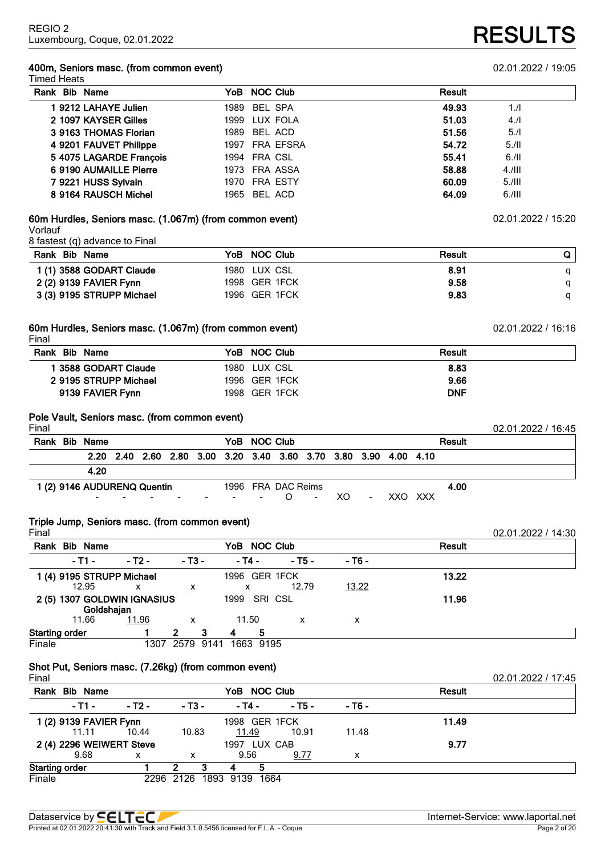### **400m, Seniors masc. (from common event)** 02.01.2022 / 19:05 Timed Heats

| Rank Bib Name           | YoB NOC Club   | Result         |
|-------------------------|----------------|----------------|
| 1 9212 LAHAYE Julien    | 1989 BEL SPA   | 49.93<br>1.1   |
| 2 1097 KAYSER Gilles    | 1999 LUX FOLA  | 51.03<br>4.1   |
| 3 9163 THOMAS Florian   | 1989 BEL ACD   | 5.1<br>51.56   |
| 4 9201 FAUVET Philippe  | 1997 FRA EFSRA | 54.72<br>5.11  |
| 5 4075 LAGARDE François | 1994 FRA CSL   | 6.11<br>55.41  |
| 6 9190 AUMAILLE Pierre  | 1973 FRA ASSA  | 58.88<br>4.111 |
| 7 9221 HUSS Sylvain     | 1970 FRA ESTY  | 60.09<br>5.111 |
| 8 9164 RAUSCH Michel    | 1965 BEL ACD   | 64.09<br>6.111 |

# **60m Hurdles, Seniors masc. (1.067m) (from common event)** 02.01.2022 / 15:20 Vorlauf

8 fastest (q) advance to Final

| Rank Bib Name             | YoB NOC Club  | Result |  |
|---------------------------|---------------|--------|--|
| 1 (1) 3588 GODART Claude  | 1980 LUX CSL  | 8.91   |  |
| 2 (2) 9139 FAVIER Fynn    | 1998 GER 1FCK | 9.58   |  |
| 3 (3) 9195 STRUPP Michael | 1996 GER 1FCK | 9.83   |  |

# **60m Hurdles, Seniors masc. (1.067m) (from common event)** 02.01.2022 / 16:16

| Final                 |               |            |
|-----------------------|---------------|------------|
| Rank Bib Name         | YoB NOC Club  | Result     |
| 1 3588 GODART Claude  | 1980 LUX CSL  | 8.83       |
| 2 9195 STRUPP Michael | 1996 GER 1FCK | 9.66       |
| 9139 FAVIER Fynn      | 1998 GER 1FCK | <b>DNF</b> |

# **Pole Vault, Seniors masc. (from common event)**

| Final |                             |  |  |              |                                                                  |                |     |        |         |        | 02.01.2022 / 16:45 |
|-------|-----------------------------|--|--|--------------|------------------------------------------------------------------|----------------|-----|--------|---------|--------|--------------------|
| Rank  | <b>Bib Name</b>             |  |  | YoB NOC Club |                                                                  |                |     |        |         | Result |                    |
|       |                             |  |  |              | 2.20 2.40 2.60 2.80 3.00 3.20 3.40 3.60 3.70 3.80 3.90 4.00 4.10 |                |     |        |         |        |                    |
|       | 4.20                        |  |  |              |                                                                  |                |     |        |         |        |                    |
|       | 1 (2) 9146 AUDURENQ Quentin |  |  |              | 1996 FRA DAC Reims                                               |                |     |        |         | 4.00   |                    |
|       | $\sim$                      |  |  |              |                                                                  | $\blacksquare$ | XO. | $\sim$ | XXO XXX |        |                    |

# **Triple Jump, Seniors masc. (from common event)**

| Final                 |                                           |        |            |      |                    |           |        |        |       | 02.01.2022 / 14:30 |
|-----------------------|-------------------------------------------|--------|------------|------|--------------------|-----------|--------|--------|-------|--------------------|
| Rank                  | <b>Bib Name</b>                           |        |            |      | YoB NOC Club       |           |        | Result |       |                    |
|                       | - T1 -                                    | - T2 - | $-$ T3 $-$ |      | - Т4 -             |           | - T5 - | - Т6 - |       |                    |
|                       | 1 (4) 9195 STRUPP Michael<br>12.95        | x      | x          |      | 1996 GER 1FCK<br>x |           | 12.79  | 13.22  | 13.22 |                    |
|                       | 2 (5) 1307 GOLDWIN IGNASIUS<br>Goldshajan |        |            |      | 1999               | SRI CSL   |        |        | 11.96 |                    |
|                       | 11.66                                     | 11.96  | X          |      | 11.50              |           | x      | х      |       |                    |
| <b>Starting order</b> |                                           |        | 2          | з    | 4                  | 5         |        |        |       |                    |
| Finale                |                                           | 1307   | 2579       | 9141 |                    | 1663 9195 |        |        |       |                    |

# **Shot Put, Seniors masc. (7.26kg) (from common event)**

| Final                    |        |           |            |               |      |        |               |       | 02.01.2022 / 17:45 |
|--------------------------|--------|-----------|------------|---------------|------|--------|---------------|-------|--------------------|
| Rank Bib Name            |        |           |            | YoB NOC Club  |      |        | <b>Result</b> |       |                    |
| - T1 -                   | - T2 - |           | $-$ T3 $-$ | - T4 -        |      | - T5 - | - T6 -        |       |                    |
| 1 (2) 9139 FAVIER Fynn   |        |           |            | 1998 GER 1FCK |      |        |               | 11.49 |                    |
| 11.11                    | 10.44  |           | 10.83      | 11.49         |      | 10.91  | 11.48         |       |                    |
| 2 (4) 2296 WEIWERT Steve |        |           |            | 1997 LUX CAB  |      |        |               | 9.77  |                    |
| 9.68                     | x      |           | х          | 9.56          |      | 9.77   | x             |       |                    |
| <b>Starting order</b>    |        |           | 2          |               |      |        |               |       |                    |
| Finale                   |        | 2296 2126 |            | 1893 9139     | 1664 |        |               |       |                    |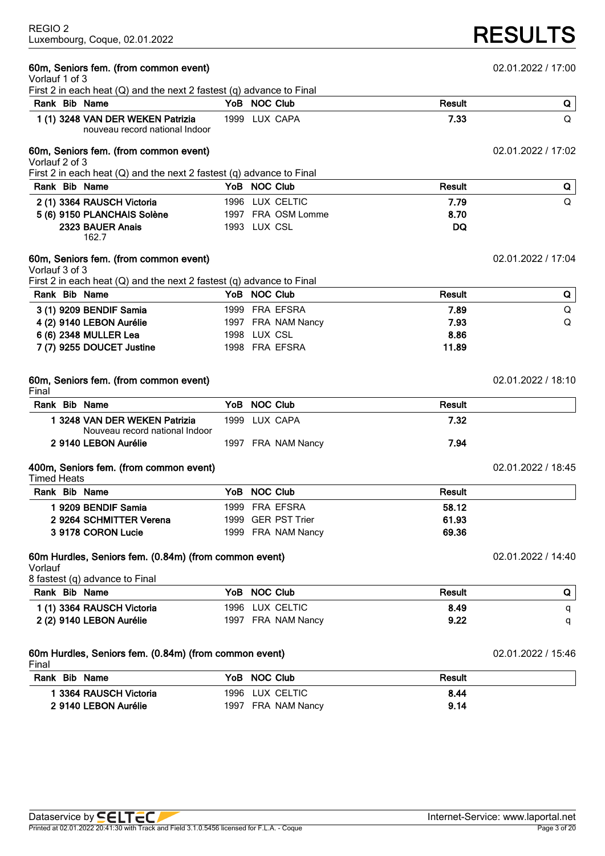# **RESULTS**

| 60m, Seniors fem. (from common event)                                                              |  |                    | 02.01.2022 / 17:00 |                    |
|----------------------------------------------------------------------------------------------------|--|--------------------|--------------------|--------------------|
| Vorlauf 1 of 3<br>First 2 in each heat $(Q)$ and the next 2 fastest $(q)$ advance to Final         |  |                    |                    |                    |
| Rank Bib Name                                                                                      |  | YoB NOC Club       | <b>Result</b>      | Q                  |
| 1 (1) 3248 VAN DER WEKEN Patrizia                                                                  |  | 1999 LUX CAPA      | 7.33               | Q                  |
| nouveau record national Indoor                                                                     |  |                    |                    |                    |
| 60m, Seniors fem. (from common event)<br>Vorlauf 2 of 3                                            |  |                    |                    | 02.01.2022 / 17:02 |
| First 2 in each heat $(Q)$ and the next 2 fastest $(q)$ advance to Final                           |  |                    |                    |                    |
| Rank Bib Name                                                                                      |  | YoB NOC Club       | Result             | Q                  |
| 2 (1) 3364 RAUSCH Victoria                                                                         |  | 1996 LUX CELTIC    | 7.79               | Q                  |
| 5 (6) 9150 PLANCHAIS Solène                                                                        |  | 1997 FRA OSM Lomme | 8.70               |                    |
| 2323 BAUER Anais<br>162.7                                                                          |  | 1993 LUX CSL       | DQ                 |                    |
| 60m, Seniors fem. (from common event)<br>Vorlauf 3 of 3                                            |  |                    |                    | 02.01.2022 / 17:04 |
| First 2 in each heat $(Q)$ and the next 2 fastest $(q)$ advance to Final                           |  |                    |                    |                    |
| Rank Bib Name                                                                                      |  | YoB NOC Club       | <b>Result</b>      | Q                  |
| 3 (1) 9209 BENDIF Samia                                                                            |  | 1999 FRA EFSRA     | 7.89               | Q                  |
| 4 (2) 9140 LEBON Aurélie                                                                           |  | 1997 FRA NAM Nancy | 7.93               | Q                  |
| 6 (6) 2348 MULLER Lea                                                                              |  | 1998 LUX CSL       | 8.86               |                    |
| 7 (7) 9255 DOUCET Justine                                                                          |  | 1998 FRA EFSRA     | 11.89              |                    |
| 60m, Seniors fem. (from common event)<br>Final                                                     |  |                    |                    | 02.01.2022 / 18:10 |
| Rank Bib Name                                                                                      |  | YoB NOC Club       | Result             |                    |
| 1 3248 VAN DER WEKEN Patrizia<br>Nouveau record national Indoor                                    |  | 1999 LUX CAPA      | 7.32               |                    |
| 2 9140 LEBON Aurélie                                                                               |  | 1997 FRA NAM Nancy | 7.94               |                    |
| 400m, Seniors fem. (from common event)<br><b>Timed Heats</b>                                       |  |                    |                    | 02.01.2022 / 18:45 |
| Rank Bib Name                                                                                      |  | YoB NOC Club       | Result             |                    |
| 1 9209 BENDIF Samia                                                                                |  | 1999 FRA EFSRA     | 58.12              |                    |
| 2 9264 SCHMITTER Verena                                                                            |  | 1999 GER PST Trier | 61.93              |                    |
| 3 9178 CORON Lucie                                                                                 |  | 1999 FRA NAM Nancy | 69.36              |                    |
| 60m Hurdles, Seniors fem. (0.84m) (from common event)<br>Vorlauf<br>8 fastest (q) advance to Final |  |                    |                    | 02.01.2022 / 14:40 |
| Rank Bib Name                                                                                      |  | YoB NOC Club       | Result             | Q                  |
| 1 (1) 3364 RAUSCH Victoria                                                                         |  | 1996 LUX CELTIC    | 8.49               |                    |
| 2 (2) 9140 LEBON Aurélie                                                                           |  | 1997 FRA NAM Nancy | 9.22               | q<br>q             |
| 60m Hurdles, Seniors fem. (0.84m) (from common event)<br>Final                                     |  |                    |                    | 02.01.2022 / 15:46 |
| Rank Bib Name                                                                                      |  | YoB NOC Club       | <b>Result</b>      |                    |
| 1 3364 RAUSCH Victoria                                                                             |  | 1996 LUX CELTIC    | 8.44               |                    |
| 2 9140 LEBON Aurélie                                                                               |  | 1997 FRA NAM Nancy | 9.14               |                    |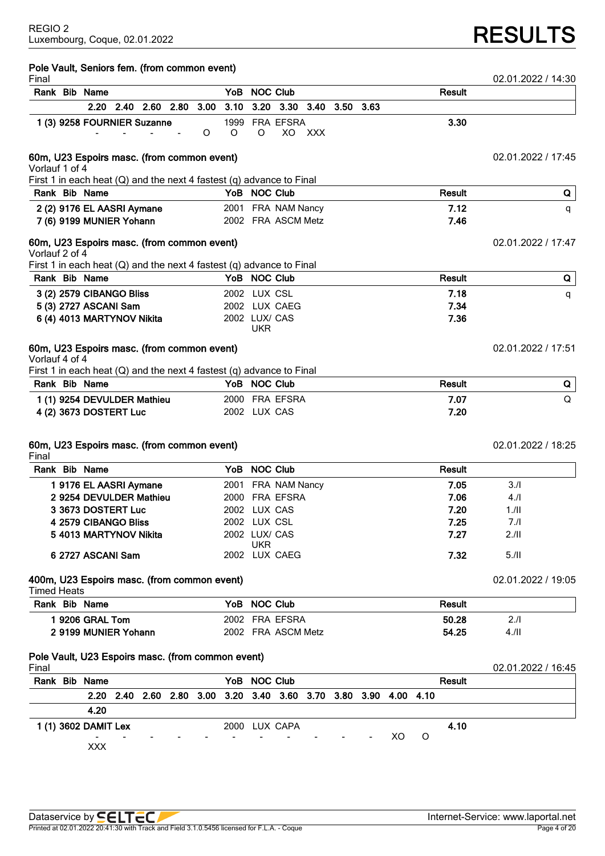# Luxembourg, Coque, 02.01.2022 **RESULTS**

| Pole Vault, Seniors fem. (from common event)<br>Final                                     |                                                  |                          |  |   |                 |               |                                                                  |            |  |    |   |               | 02.01.2022 / 14:30 |   |
|-------------------------------------------------------------------------------------------|--------------------------------------------------|--------------------------|--|---|-----------------|---------------|------------------------------------------------------------------|------------|--|----|---|---------------|--------------------|---|
| Rank Bib Name                                                                             |                                                  |                          |  |   |                 | YoB NOC Club  |                                                                  |            |  |    |   | <b>Result</b> |                    |   |
|                                                                                           |                                                  | 2.20 2.40 2.60 2.80 3.00 |  |   |                 |               | 3.10 3.20 3.30 3.40 3.50 3.63                                    |            |  |    |   |               |                    |   |
| 1 (3) 9258 FOURNIER Suzanne                                                               |                                                  |                          |  | O | 1999<br>$\circ$ | O             | FRA EFSRA<br>XO.                                                 | <b>XXX</b> |  |    |   | 3.30          |                    |   |
| 60m, U23 Espoirs masc. (from common event)<br>Vorlauf 1 of 4                              |                                                  |                          |  |   |                 |               |                                                                  |            |  |    |   |               | 02.01.2022 / 17:45 |   |
| First 1 in each heat $(Q)$ and the next 4 fastest $(q)$ advance to Final                  |                                                  |                          |  |   |                 |               |                                                                  |            |  |    |   |               |                    |   |
| Rank Bib Name                                                                             |                                                  |                          |  |   |                 | YoB NOC Club  |                                                                  |            |  |    |   | <b>Result</b> |                    | Q |
| 2 (2) 9176 EL AASRI Aymane<br>7 (6) 9199 MUNIER Yohann                                    |                                                  |                          |  |   |                 |               | 2001 FRA NAM Nancy<br>2002 FRA ASCM Metz                         |            |  |    |   | 7.12<br>7.46  |                    | q |
| 60m, U23 Espoirs masc. (from common event)<br>Vorlauf 2 of 4                              |                                                  |                          |  |   |                 |               |                                                                  |            |  |    |   |               | 02.01.2022 / 17:47 |   |
| First 1 in each heat $(Q)$ and the next 4 fastest $(q)$ advance to Final<br>Rank Bib Name |                                                  |                          |  |   |                 | YoB NOC Club  |                                                                  |            |  |    |   | <b>Result</b> |                    |   |
|                                                                                           |                                                  |                          |  |   |                 |               |                                                                  |            |  |    |   |               |                    | Q |
| 3 (2) 2579 CIBANGO Bliss<br>5 (3) 2727 ASCANI Sam                                         |                                                  |                          |  |   |                 | 2002 LUX CSL  | 2002 LUX CAEG                                                    |            |  |    |   | 7.18<br>7.34  |                    | q |
| 6 (4) 4013 MARTYNOV Nikita                                                                |                                                  |                          |  |   |                 | 2002 LUX/ CAS |                                                                  |            |  |    |   | 7.36          |                    |   |
|                                                                                           |                                                  |                          |  |   |                 | <b>UKR</b>    |                                                                  |            |  |    |   |               |                    |   |
| 60m, U23 Espoirs masc. (from common event)<br>Vorlauf 4 of 4                              |                                                  |                          |  |   |                 |               |                                                                  |            |  |    |   |               | 02.01.2022 / 17:51 |   |
| First 1 in each heat $(Q)$ and the next 4 fastest $(q)$ advance to Final                  |                                                  |                          |  |   |                 |               |                                                                  |            |  |    |   |               |                    |   |
|                                                                                           |                                                  |                          |  |   |                 |               |                                                                  |            |  |    |   | Result        |                    | Q |
| Rank Bib Name                                                                             |                                                  |                          |  |   | YoB NOC Club    |               |                                                                  |            |  |    |   |               |                    |   |
| 1 (1) 9254 DEVULDER Mathieu                                                               |                                                  |                          |  |   |                 |               | 2000 FRA EFSRA                                                   |            |  |    |   | 7.07          |                    | Q |
| 4 (2) 3673 DOSTERT Luc                                                                    |                                                  |                          |  |   | 2002 LUX CAS    |               |                                                                  |            |  |    |   | 7.20          |                    |   |
| 60m, U23 Espoirs masc. (from common event)                                                |                                                  |                          |  |   |                 |               |                                                                  |            |  |    |   |               | 02.01.2022 / 18:25 |   |
| Final<br>Rank Bib Name                                                                    |                                                  |                          |  |   |                 | YoB NOC Club  |                                                                  |            |  |    |   | Result        |                    |   |
|                                                                                           |                                                  |                          |  |   |                 |               |                                                                  |            |  |    |   |               | 3.1                |   |
|                                                                                           | 19176 EL AASRI Aymane<br>2 9254 DEVULDER Mathieu |                          |  |   |                 |               | 2001 FRA NAM Nancy<br>2000 FRA EFSRA                             |            |  |    |   | 7.05<br>7.06  | 4.1                |   |
|                                                                                           | 3 3673 DOSTERT Luc                               |                          |  |   |                 | 2002 LUX CAS  |                                                                  |            |  |    |   | 7.20          | 1.11               |   |
|                                                                                           | 4 2579 CIBANGO Bliss                             |                          |  |   |                 | 2002 LUX CSL  |                                                                  |            |  |    |   | 7.25          | 7.1                |   |
|                                                                                           | 5 4013 MARTYNOV Nikita                           |                          |  |   |                 | 2002 LUX/ CAS |                                                                  |            |  |    |   | 7.27          | 2.11               |   |
|                                                                                           | 6 2727 ASCANI Sam                                |                          |  |   |                 | <b>UKR</b>    | 2002 LUX CAEG                                                    |            |  |    |   | 7.32          | 5.11               |   |
| 400m, U23 Espoirs masc. (from common event)<br><b>Timed Heats</b>                         |                                                  |                          |  |   |                 |               |                                                                  |            |  |    |   |               | 02.01.2022 / 19:05 |   |
| Rank Bib Name                                                                             |                                                  |                          |  |   |                 | YoB NOC Club  |                                                                  |            |  |    |   | Result        |                    |   |
|                                                                                           | 1 9206 GRAL Tom                                  |                          |  |   |                 |               | 2002 FRA EFSRA                                                   |            |  |    |   | 50.28         | 2.1                |   |
|                                                                                           | 2 9199 MUNIER Yohann                             |                          |  |   |                 |               | 2002 FRA ASCM Metz                                               |            |  |    |   | 54.25         | $4$ ./II           |   |
| Pole Vault, U23 Espoirs masc. (from common event)                                         |                                                  |                          |  |   |                 |               |                                                                  |            |  |    |   |               |                    |   |
| Final<br>Rank Bib Name                                                                    |                                                  |                          |  |   |                 | YoB NOC Club  |                                                                  |            |  |    |   | Result        | 02.01.2022 / 16:45 |   |
|                                                                                           |                                                  |                          |  |   |                 |               | 2.20 2.40 2.60 2.80 3.00 3.20 3.40 3.60 3.70 3.80 3.90 4.00 4.10 |            |  |    |   |               |                    |   |
|                                                                                           | 4.20                                             |                          |  |   |                 |               |                                                                  |            |  |    |   |               |                    |   |
|                                                                                           |                                                  |                          |  |   |                 |               |                                                                  |            |  |    |   |               |                    |   |
| 1 (1) 3602 DAMIT Lex                                                                      | <b>XXX</b>                                       |                          |  |   |                 |               | 2000 LUX CAPA                                                    |            |  | XO | O | 4.10          |                    |   |
|                                                                                           |                                                  |                          |  |   |                 |               |                                                                  |            |  |    |   |               |                    |   |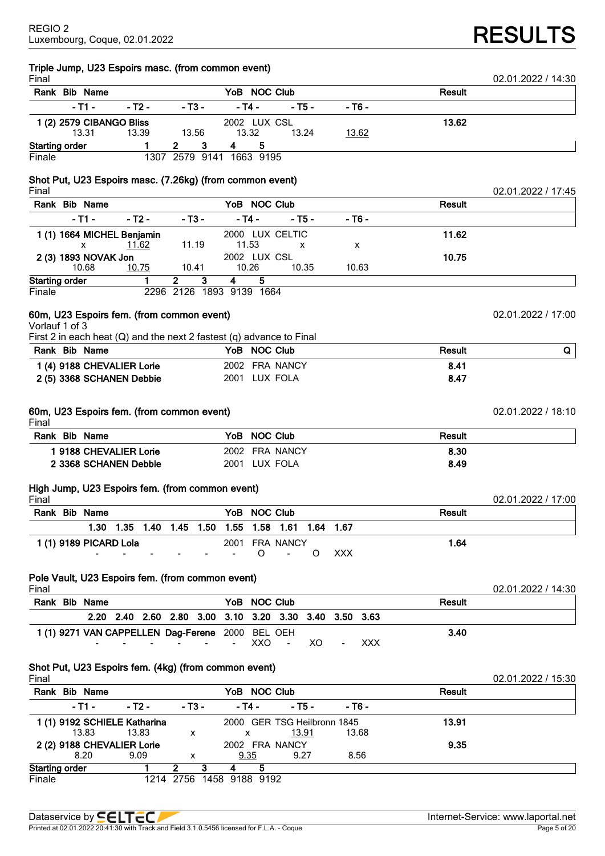**Triple Jump, U23 Espoirs masc. (from common event)**

| Final                 |                                                                      |           |   |                               |       |      |                       |                 |        |            |            |               | 02.01.2022 / 14:30 |
|-----------------------|----------------------------------------------------------------------|-----------|---|-------------------------------|-------|------|-----------------------|-----------------|--------|------------|------------|---------------|--------------------|
|                       | Rank Bib Name                                                        |           |   |                               |       |      | YoB NOC Club          |                 |        |            |            | <b>Result</b> |                    |
|                       | - T1 -                                                               | - Т2 -    |   | - ТЗ -                        |       |      | - T4 -                |                 | - Т5 - |            | - Т6 -     |               |                    |
|                       | 1 (2) 2579 CIBANGO Bliss                                             |           |   |                               |       |      | 2002 LUX CSL          |                 |        |            |            | 13.62         |                    |
|                       | 13.31                                                                | 13.39     |   |                               | 13.56 |      | 13.32                 |                 | 13.24  |            | 13.62      |               |                    |
| <b>Starting order</b> |                                                                      |           | 1 | 2                             | 3     | 4    | 5                     |                 |        |            |            |               |                    |
| Finale                |                                                                      |           |   | 1307 2579 9141 1663 9195      |       |      |                       |                 |        |            |            |               |                    |
| Final                 | Shot Put, U23 Espoirs masc. (7.26kg) (from common event)             |           |   |                               |       |      |                       |                 |        |            |            |               | 02.01.2022 / 17:45 |
|                       | Rank Bib Name                                                        |           |   |                               |       |      | YoB NOC Club          |                 |        |            |            | <b>Result</b> |                    |
|                       | $-T1-$                                                               | $-72-$    |   | $- T3 -$                      |       |      | - T4 -                |                 | - T5 - |            | - T6 -     |               |                    |
|                       | 1 (1) 1664 MICHEL Benjamin<br>x                                      | 11.62     |   | 11.19                         |       |      | 11.53                 | 2000 LUX CELTIC | x      |            | х          | 11.62         |                    |
|                       | 2 (3) 1893 NOVAK Jon<br>10.68                                        | 10.75     |   | 10.41                         |       |      | 2002 LUX CSL<br>10.26 |                 | 10.35  |            | 10.63      | 10.75         |                    |
| <b>Starting order</b> |                                                                      |           | 1 | $\overline{2}$                | 3     | 4    | 5                     |                 |        |            |            |               |                    |
| Finale                |                                                                      |           |   | 2296 2126 1893 9139 1664      |       |      |                       |                 |        |            |            |               |                    |
| Vorlauf 1 of 3        | 60m, U23 Espoirs fem. (from common event)                            |           |   |                               |       |      |                       |                 |        |            |            |               | 02.01.2022 / 17:00 |
|                       | First 2 in each heat (Q) and the next 2 fastest (q) advance to Final |           |   |                               |       |      |                       |                 |        |            |            |               |                    |
|                       | Rank Bib Name                                                        |           |   |                               |       |      | YoB NOC Club          |                 |        |            |            | <b>Result</b> | Q                  |
|                       | 1 (4) 9188 CHEVALIER Lorie                                           |           |   |                               |       |      |                       | 2002 FRA NANCY  |        |            |            | 8.41          |                    |
|                       | 2 (5) 3368 SCHANEN Debbie                                            |           |   |                               |       |      |                       | 2001 LUX FOLA   |        |            |            | 8.47          |                    |
| Final                 | 60m, U23 Espoirs fem. (from common event)                            |           |   |                               |       |      |                       |                 |        |            |            |               | 02.01.2022 / 18:10 |
|                       | Rank Bib Name                                                        |           |   |                               |       | YoB  |                       | <b>NOC Club</b> |        |            |            | Result        |                    |
|                       | 1 9188 CHEVALIER Lorie                                               |           |   |                               |       |      |                       | 2002 FRA NANCY  |        |            |            | 8.30          |                    |
|                       | 2 3368 SCHANEN Debbie                                                |           |   |                               |       |      |                       | 2001 LUX FOLA   |        |            |            | 8.49          |                    |
| Final                 | High Jump, U23 Espoirs fem. (from common event)                      |           |   |                               |       |      |                       |                 |        |            |            |               | 02.01.2022 / 17:00 |
|                       | Rank Bib Name                                                        |           |   |                               |       |      | YoB NOC Club          |                 |        |            |            | Result        |                    |
|                       | 1.30                                                                 | 1.35 1.40 |   | 1.45                          | 1.50  | 1.55 |                       | 1.58 1.61       |        | 1.64 1.67  |            |               |                    |
|                       | 1 (1) 9189 PICARD Lola                                               |           |   |                               |       |      |                       | 2001 FRA NANCY  |        |            |            | 1.64          |                    |
|                       |                                                                      |           |   |                               |       |      | $\circ$               |                 | O      | <b>XXX</b> |            |               |                    |
|                       | Pole Vault, U23 Espoirs fem. (from common event)                     |           |   |                               |       |      |                       |                 |        |            |            |               |                    |
| Final                 |                                                                      |           |   |                               |       |      |                       |                 |        |            |            |               | 02.01.2022 / 14:30 |
|                       | Rank Bib Name                                                        |           |   |                               |       |      | YoB NOC Club          |                 |        |            |            | <b>Result</b> |                    |
|                       |                                                                      |           |   | 2.20 2.40 2.60 2.80 3.00 3.10 |       |      |                       | 3.20 3.30       | 3.40   | 3.50 3.63  |            |               |                    |
|                       | 1(1) 9271 VAN CAPPELLEN Dag-Ferene 2000 BEL OEH                      |           |   |                               |       |      | XXO                   |                 | XO     |            | <b>XXX</b> | 3.40          |                    |
|                       |                                                                      |           |   |                               |       |      |                       |                 |        |            |            |               |                    |
| Final                 | Shot Put, U23 Espoirs fem. (4kg) (from common event)                 |           |   |                               |       |      |                       |                 |        |            |            |               | 02.01.2022 / 15:30 |
|                       | Rank Bib Name                                                        |           |   |                               |       |      | YoB NOC Club          |                 |        |            |            | Result        |                    |
|                       | $-T1 -$                                                              | $-72-$    |   | $- T3 -$                      |       |      | $-$ T4 $-$            |                 | $-75-$ |            | $-76-$     |               |                    |

|                       | ivani cip radinc           |                              |        |   |        |                          |                             | .      |       |
|-----------------------|----------------------------|------------------------------|--------|---|--------|--------------------------|-----------------------------|--------|-------|
|                       | $-11 -$                    | - T2 -                       | - T3 - |   | - T4 - |                          | - T5 -                      | - Т6 - |       |
|                       |                            | 1 (1) 9192 SCHIELE Katharina |        |   |        |                          | 2000 GER TSG Heilbronn 1845 |        | 13.91 |
|                       | 13.83                      | 13.83                        | х      |   | x      |                          | 13.91                       | 13.68  |       |
|                       | 2 (2) 9188 CHEVALIER Lorie |                              |        |   |        | 2002 FRA NANCY           |                             |        | 9.35  |
|                       | 8.20                       | 9.09                         | х      |   | 9.35   |                          | 9.27                        | 8.56   |       |
| <b>Starting order</b> |                            |                              | 2      | З | 4      | 5                        |                             |        |       |
| Finale                |                            |                              |        |   |        | 1214 2756 1458 9188 9192 |                             |        |       |

Luxembourg, Coque, 02.01.2022 **RESULTS**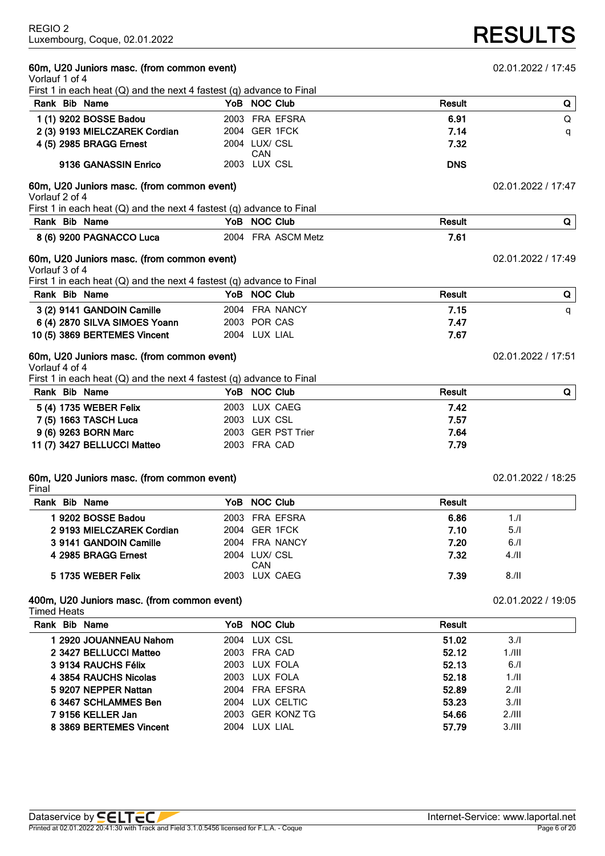# **RESULTS**

**60m, U20 Juniors masc. (from common event)** 02.01.2022 / 17:45

| <br>Vorlauf 1 of 4                                                       |                      |               |                    |
|--------------------------------------------------------------------------|----------------------|---------------|--------------------|
| First 1 in each heat $(Q)$ and the next 4 fastest $(q)$ advance to Final |                      |               |                    |
| Rank Bib Name                                                            | YoB NOC Club         | Result        | Q                  |
| 1 (1) 9202 BOSSE Badou                                                   | 2003 FRA EFSRA       | 6.91          | Q                  |
| 2 (3) 9193 MIELCZAREK Cordian                                            | 2004 GER 1FCK        | 7.14          | q                  |
| 4 (5) 2985 BRAGG Ernest                                                  | 2004 LUX/ CSL        | 7.32          |                    |
| 9136 GANASSIN Enrico                                                     | CAN<br>2003 LUX CSL  | <b>DNS</b>    |                    |
| 60m, U20 Juniors masc. (from common event)<br>Vorlauf 2 of 4             |                      |               | 02.01.2022 / 17:47 |
| First 1 in each heat $(Q)$ and the next 4 fastest $(q)$ advance to Final |                      |               |                    |
| Rank Bib Name                                                            | YoB NOC Club         | <b>Result</b> | Q                  |
| 8 (6) 9200 PAGNACCO Luca                                                 | 2004 FRA ASCM Metz   | 7.61          |                    |
| 60m, U20 Juniors masc. (from common event)<br>Vorlauf 3 of 4             |                      |               | 02.01.2022 / 17:49 |
| First 1 in each heat $(Q)$ and the next 4 fastest $(q)$ advance to Final |                      |               |                    |
| Rank Bib Name                                                            | YoB NOC Club         | <b>Result</b> | Q                  |
| 3 (2) 9141 GANDOIN Camille                                               | 2004 FRA NANCY       | 7.15          | q                  |
| 6 (4) 2870 SILVA SIMOES Yoann                                            | 2003 POR CAS         | 7.47          |                    |
| 10 (5) 3869 BERTEMES Vincent                                             | 2004 LUX LIAL        | 7.67          |                    |
| 60m, U20 Juniors masc. (from common event)<br>Vorlauf 4 of 4             |                      |               | 02.01.2022 / 17:51 |
| First 1 in each heat $(Q)$ and the next 4 fastest $(q)$ advance to Final |                      |               |                    |
| Rank Bib Name                                                            | YoB NOC Club         | <b>Result</b> | Q                  |
| 5 (4) 1735 WEBER Felix                                                   | 2003 LUX CAEG        | 7.42          |                    |
| 7 (5) 1663 TASCH Luca                                                    | 2003 LUX CSL         | 7.57          |                    |
| 9 (6) 9263 BORN Marc                                                     | 2003 GER PST Trier   | 7.64          |                    |
| 11 (7) 3427 BELLUCCI Matteo                                              | 2003 FRA CAD         | 7.79          |                    |
| 60m, U20 Juniors masc. (from common event)<br>Final                      |                      |               | 02.01.2022 / 18:25 |
| Rank Bib Name                                                            | YoB NOC Club         | <b>Result</b> |                    |
| 19202 BOSSE Badou                                                        | 2003 FRA EFSRA       | 6.86          | 1.1                |
| 2 9193 MIELCZAREK Cordian                                                | 2004 GER 1FCK        | 7.10          | 5.1                |
| 3 9141 GANDOIN Camille                                                   | 2004 FRA NANCY       | 7.20          | 6.1                |
| 4 2985 BRAGG Ernest                                                      | 2004 LUX/ CSL<br>CAN | 7.32          | $4.$ /II           |
| 5 1735 WEBER Felix                                                       | 2003 LUX CAEG        | 7.39          | 8.11               |
| 400m, U20 Juniors masc. (from common event)<br><b>Timed Heats</b>        |                      |               | 02.01.2022 / 19:05 |
| Rank Bib Name                                                            | YoB NOC Club         | <b>Result</b> |                    |
| 1 2920 JOUANNEAU Nahom                                                   | 2004 LUX CSL         | 51.02         | 3.1                |
| 2 3427 BELLUCCI Matteo                                                   | 2003 FRA CAD         | 52.12         | $1.1$ III          |
| 3 9134 RAUCHS Félix                                                      | 2003 LUX FOLA        | 52.13         | 6.1                |
| 4 3854 RAUCHS Nicolas                                                    | 2003 LUX FOLA        | 52.18         | 1/II               |
| 5 9207 NEPPER Nattan                                                     | 2004 FRA EFSRA       | 52.89         | 2.11               |
| 6 3467 SCHLAMMES Ben                                                     | 2004 LUX CELTIC      | 53.23         | 3.11               |
| 7 9156 KELLER Jan                                                        | 2003 GER KONZ TG     | 54.66         | 2.111              |

**8 3869 BERTEMES Vincent** 2004 LUX LIAL **57.79** 3./III

# Printed at 02.01.2022 20:41:30 with Track and Field 3.1.0.5456 licensed for F.L.A. - Coque Page 6 of 20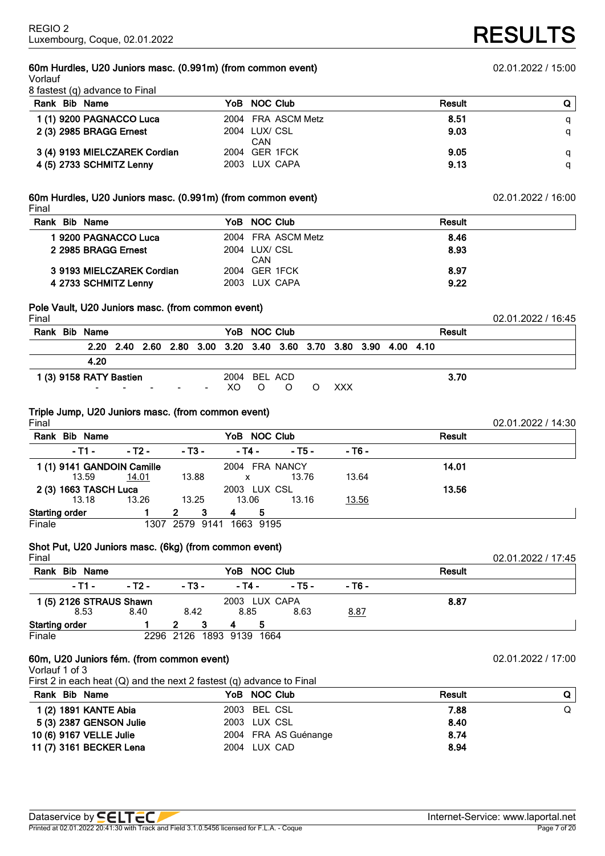# **60m Hurdles, U20 Juniors masc. (0.991m) (from common event)** 02.01.2022 / 15:00

Vorlauf 8 fastest (q) advance to Final

| Rank Bib Name                 | YoB NOC Club         | Result |   |
|-------------------------------|----------------------|--------|---|
| 1 (1) 9200 PAGNACCO Luca      | 2004 FRA ASCM Metz   | 8.51   |   |
| 2 (3) 2985 BRAGG Ernest       | 2004 LUX/ CSL<br>CAN | 9.03   | a |
| 3 (4) 9193 MIELCZAREK Cordian | 2004 GER 1FCK        | 9.05   |   |
| 4 (5) 2733 SCHMITZ Lenny      | 2003 LUX CAPA        | 9.13   |   |

### **60m Hurdles, U20 Juniors masc. (0.991m) (from common event)** 02.01.2022 / 16:00 Final

| Rank Bib Name             | YoB NOC Club         | Result |
|---------------------------|----------------------|--------|
| 1 9200 PAGNACCO Luca      | 2004 FRA ASCM Metz   | 8.46   |
| 2 2985 BRAGG Ernest       | 2004 LUX/ CSL<br>CAN | 8.93   |
| 3 9193 MIELCZAREK Cordian | 2004 GER 1FCK        | 8.97   |
| 4 2733 SCHMITZ Lenny      | 2003 LUX CAPA        | 9.22   |

# **Pole Vault, U20 Juniors masc. (from common event)**

| Final |                         |  |        |              |              |                                                                  |  |  |               | 02.01.2022 / 16:45 |
|-------|-------------------------|--|--------|--------------|--------------|------------------------------------------------------------------|--|--|---------------|--------------------|
|       | Rank Bib Name           |  |        |              | YoB NOC Club |                                                                  |  |  | <b>Result</b> |                    |
|       |                         |  |        |              |              | 2.20 2.40 2.60 2.80 3.00 3.20 3.40 3.60 3.70 3.80 3.90 4.00 4.10 |  |  |               |                    |
|       | 4.20                    |  |        |              |              |                                                                  |  |  |               |                    |
|       | 1 (3) 9158 RATY Bastien |  |        | 2004 BEL ACD |              |                                                                  |  |  | 3.70          |                    |
|       | $\sim$                  |  | $\sim$ |              |              | XO O O O XXX                                                     |  |  |               |                    |
|       |                         |  |        |              |              |                                                                  |  |  |               |                    |

# **Triple Jump, U20 Juniors masc. (from common event)**

Final 02.01.2022 / 14:30 **Rank Bib Name YoB NOC Club Result - T1 - - T2 - - T3 - - T4 - - T5 - - T6 - 1 (1) 9141 GANDOIN Camille** 2004 FRA NANCY **14.01** 13.59 14.01 13.88 x 13.76 13.64 **2 (3) 1663 TASCH Luca** 2003 LUX CSL **13.56** 13.18 13.26 13.25 13.06 13.16 13.56 **Starting order 1 2 3 4 5** Finale 1307 2579 9141 1663 9195

# **Shot Put, U20 Juniors masc. (6kg) (from common event)**

| Final                   |        |        |   |        |                          |        |        |               | 02.01.2022 / 17:45 |
|-------------------------|--------|--------|---|--------|--------------------------|--------|--------|---------------|--------------------|
| Rank<br><b>Bib Name</b> |        |        |   |        | YoB NOC Club             |        |        | <b>Result</b> |                    |
| - T1 -                  | - T2 - | - T3 - |   | - T4 - |                          | - T5 - | $-76-$ |               |                    |
| 1 (5) 2126 STRAUS Shawn |        |        |   |        | 2003 LUX CAPA            |        |        | 8.87          |                    |
| 8.53                    | 8.40   | 8.42   |   | 8.85   |                          | 8.63   | 8.87   |               |                    |
| <b>Starting order</b>   |        | 2      | 3 | 4      | 5                        |        |        |               |                    |
| Finale                  |        |        |   |        | 2296 2126 1893 9139 1664 |        |        |               |                    |

# **60m, U20 Juniors fém. (from common event)** 02.01.2022 / 17:00

Vorlauf 1 of 3

First 2 in each heat (Q) and the next 2 fastest (q) advance to Final

| Rank Bib Name           |                         | YoB NOC Club         | Result | Q |
|-------------------------|-------------------------|----------------------|--------|---|
| 1 (2) 1891 KANTE Abia   |                         | 2003 BEL CSL         | 7.88   | Q |
|                         | 5 (3) 2387 GENSON Julie | 2003 LUX CSL         | 8.40   |   |
| 10 (6) 9167 VELLE Julie |                         | 2004 FRA AS Guénange | 8.74   |   |
| 11 (7) 3161 BECKER Lena |                         | 2004 LUX CAD         | 8.94   |   |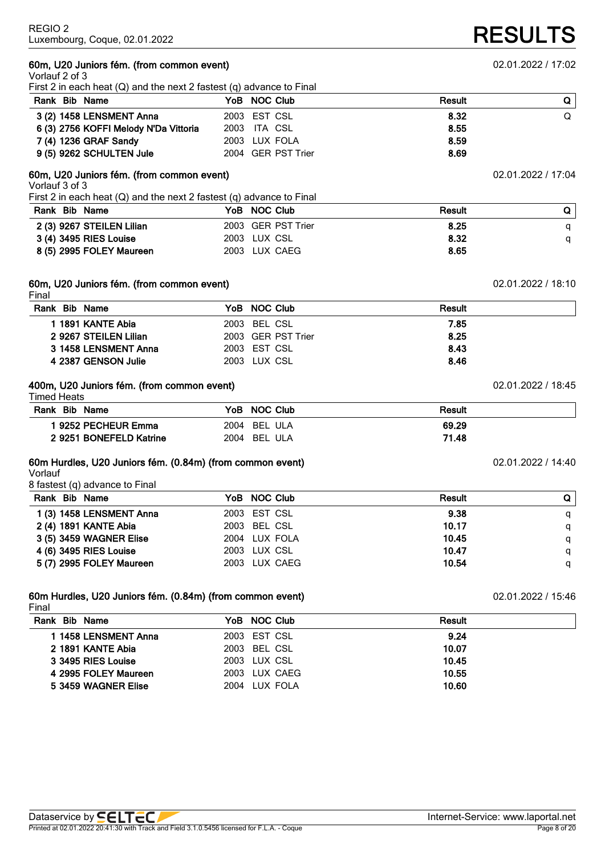### **60m, U20 Juniors fém. (from common event)** 02.01.2022 / 17:02 Vorlauf 2 of 3

First 2 in each heat (Q) and the next 2 fastest (q) advance to Final

| <b>Result</b><br>YoB NOC Club |  |
|-------------------------------|--|
| 2003 EST CSL<br>8.32          |  |
| 2003 ITA CSL<br>8.55          |  |
| 8.59<br>2003 LUX FOLA         |  |
| 8.69<br>2004 GER PST Trier    |  |
|                               |  |

# **60m, U20 Juniors fém. (from common event)** 02.01.2022 / 17:04

Vorlauf 3 of 3

First 2 in each heat (Q) and the next 2 fastest (q) advance to Final

| Rank Bib Name             | YoB NOC Club       | <b>Result</b> |  |
|---------------------------|--------------------|---------------|--|
| 2 (3) 9267 STEILEN Lilian | 2003 GER PST Trier | 8.25          |  |
| 3 (4) 3495 RIES Louise    | 2003 LUX CSL       | 8.32          |  |
| 8 (5) 2995 FOLEY Maureen  | 2003 LUX CAEG      | 8.65          |  |

#### **60m, U20 Juniors fém. (from common event)** 02.01.2022 / 18:10 Final

| r II idi              |                    |        |  |
|-----------------------|--------------------|--------|--|
| Rank Bib Name         | YoB NOC Club       | Result |  |
| 1 1891 KANTE Abia     | 2003 BEL CSL       | 7.85   |  |
| 2 9267 STEILEN Lilian | 2003 GER PST Trier | 8.25   |  |
| 3 1458 LENSMENT Anna  | 2003 EST CSL       | 8.43   |  |
| 4 2387 GENSON Julie   | 2003 LUX CSL       | 8.46   |  |
|                       |                    |        |  |

## **400m, U20 Juniors fém. (from common event)** 02.01.2022 / 18:45

Timed Heats

| Rank Bib Name           | YoB NOC Club | Result |
|-------------------------|--------------|--------|
| l 9252 PECHEUR Emma     | 2004 BEL ULA | 69.29  |
| 2 9251 BONEFELD Katrine | 2004 BEL ULA | 71.48  |

# **60m Hurdles, U20 Juniors fém. (0.84m) (from common event)** 02.01.2022 / 14:40

Vorlauf

8 fastest (q) advance to Final

| Rank Bib Name            | YoB NOC Club  | Result | Q |
|--------------------------|---------------|--------|---|
| 1 (3) 1458 LENSMENT Anna | 2003 EST CSL  | 9.38   | a |
| 2 (4) 1891 KANTE Abia    | 2003 BEL CSL  | 10.17  | a |
| 3 (5) 3459 WAGNER Elise  | 2004 LUX FOLA | 10.45  | a |
| 4 (6) 3495 RIES Louise   | 2003 LUX CSL  | 10.47  |   |
| 5 (7) 2995 FOLEY Maureen | 2003 LUX CAEG | 10.54  | a |

#### **60m Hurdles, U20 Juniors fém. (0.84m) (from common event)** 02.01.2022 / 15:46 Final

| ll Ial               |               |        |  |
|----------------------|---------------|--------|--|
| Rank Bib Name        | YoB NOC Club  | Result |  |
| 1 1458 LENSMENT Anna | 2003 EST CSL  | 9.24   |  |
| 2 1891 KANTE Abia    | 2003 BEL CSL  | 10.07  |  |
| 3 3495 RIES Louise   | 2003 LUX CSL  | 10.45  |  |
| 4 2995 FOLEY Maureen | 2003 LUX CAEG | 10.55  |  |
| 5 3459 WAGNER Elise  | 2004 LUX FOLA | 10.60  |  |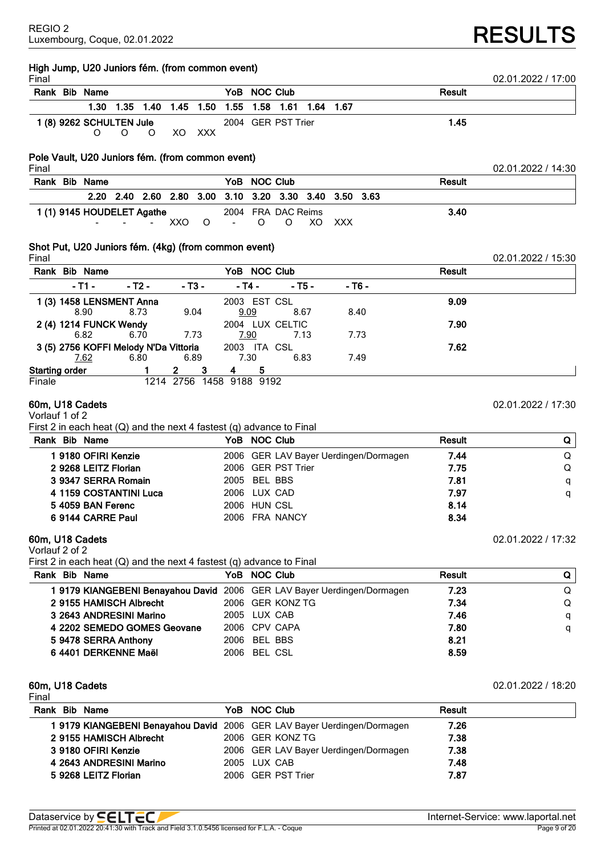# **RESULTS**

| High Jump, U20 Juniors fém. (from common event)<br>Final                                                    |                                                                         |               | 02.01.2022 / 17:00 |
|-------------------------------------------------------------------------------------------------------------|-------------------------------------------------------------------------|---------------|--------------------|
| Rank Bib Name                                                                                               | YoB NOC Club                                                            | Result        |                    |
| 1.30<br>1.50<br>1.35 1.40 1.45                                                                              | 1.55<br>1.58<br>1.61<br>1.64<br>1.67                                    |               |                    |
| 1 (8) 9262 SCHULTEN Jule                                                                                    | 2004 GER PST Trier                                                      | 1.45          |                    |
| O<br>O<br>XO<br><b>XXX</b><br>O                                                                             |                                                                         |               |                    |
| Pole Vault, U20 Juniors fém. (from common event)                                                            |                                                                         |               |                    |
| Final                                                                                                       |                                                                         |               | 02.01.2022 / 14:30 |
| Rank Bib Name                                                                                               | YoB NOC Club                                                            | Result        |                    |
| 2.80<br>3.00<br>2.20<br>2.40 2.60                                                                           | 3.20 3.30 3.40<br>3.10<br>3.50 3.63                                     |               |                    |
| 1 (1) 9145 HOUDELET Agathe                                                                                  | 2004 FRA DAC Reims                                                      | 3.40          |                    |
| XXO<br>O                                                                                                    | O<br>O<br>XO<br><b>XXX</b>                                              |               |                    |
| Shot Put, U20 Juniors fém. (4kg) (from common event)                                                        |                                                                         |               |                    |
| Final<br>Rank Bib Name                                                                                      | YoB NOC Club                                                            | <b>Result</b> | 02.01.2022 / 15:30 |
|                                                                                                             |                                                                         |               |                    |
| $-$ T1 $-$<br>$-13-$<br>- т2 -                                                                              | $-$ T4 $-$<br>$-76-$<br>- Т5 -                                          |               |                    |
| 1 (3) 1458 LENSMENT Anna<br>8.90<br>8.73<br>9.04                                                            | 2003 EST CSL<br>9.09<br>8.67<br>8.40                                    | 9.09          |                    |
| 2 (4) 1214 FUNCK Wendy                                                                                      | 2004 LUX CELTIC                                                         | 7.90          |                    |
| 6.82<br>6.70<br>7.73                                                                                        | 7.90<br>7.73<br>7.13                                                    |               |                    |
| 3 (5) 2756 KOFFI Melody N'Da Vittoria                                                                       | 2003 ITA CSL                                                            | 7.62          |                    |
| 7.62<br>6.80<br>6.89                                                                                        | 7.30<br>6.83<br>7.49                                                    |               |                    |
| 3<br><b>Starting order</b><br>2<br>1214 2756 1458 9188 9192<br>Finale                                       | 5<br>4                                                                  |               |                    |
| Vorlauf 1 of 2<br>First 2 in each heat $(Q)$ and the next 4 fastest $(q)$ advance to Final<br>Rank Bib Name | YoB NOC Club                                                            | Result        | Q                  |
| 19180 OFIRI Kenzie                                                                                          | 2006 GER LAV Bayer Uerdingen/Dormagen                                   | 7.44          | Q                  |
| 2 9268 LEITZ Florian                                                                                        | 2006 GER PST Trier                                                      | 7.75          | Q                  |
| 3 9347 SERRA Romain                                                                                         | <b>BEL BBS</b><br>2005                                                  | 7.81          | q                  |
| 4 1159 COSTANTINI Luca                                                                                      | 2006 LUX CAD                                                            | 7.97          | q                  |
| 5 4059 BAN Ferenc                                                                                           | 2006 HUN CSL                                                            | 8.14          |                    |
| 6 9144 CARRE Paul                                                                                           | 2006 FRA NANCY                                                          | 8.34          |                    |
| 60m, U18 Cadets<br>Vorlauf 2 of 2                                                                           |                                                                         |               | 02.01.2022 / 17:32 |
| First 2 in each heat $(Q)$ and the next 4 fastest $(q)$ advance to Final                                    |                                                                         |               |                    |
| Rank Bib Name                                                                                               | YoB NOC Club                                                            | Result        | Q                  |
|                                                                                                             | 1 9179 KIANGEBENI Benayahou David 2006 GER LAV Bayer Uerdingen/Dormagen | 7.23          | Q                  |
| 2 9155 HAMISCH Albrecht                                                                                     | 2006 GER KONZ TG                                                        | 7.34          | Q                  |
| 3 2643 ANDRESINI Marino                                                                                     | 2005 LUX CAB                                                            | 7.46          | q                  |
| 4 2202 SEMEDO GOMES Geovane                                                                                 | 2006 CPV CAPA                                                           | 7.80          | q                  |
| 5 9478 SERRA Anthony                                                                                        | 2006 BEL BBS                                                            | 8.21          |                    |
| 6 4401 DERKENNE Maël                                                                                        | 2006 BEL CSL                                                            | 8.59          |                    |
| 60m, U18 Cadets                                                                                             |                                                                         |               | 02.01.2022 / 18:20 |
| Final<br>Rank Bib Name                                                                                      | YoB NOC Club                                                            | Result        |                    |
|                                                                                                             | 1 9179 KIANGEBENI Benayahou David 2006 GER LAV Bayer Uerdingen/Dormagen | 7.26          |                    |
| 2 9155 HAMISCH Albrecht                                                                                     | 2006 GER KONZ TG                                                        | 7.38          |                    |
| 3 9180 OFIRI Kenzie                                                                                         | 2006 GER LAV Bayer Uerdingen/Dormagen                                   | 7.38          |                    |

**4 2643 ANDRESINI Marino** 2005 LUX CAB **7.48 5 9268 LEITZ Florian** 2006 GER PST Trier **7.87**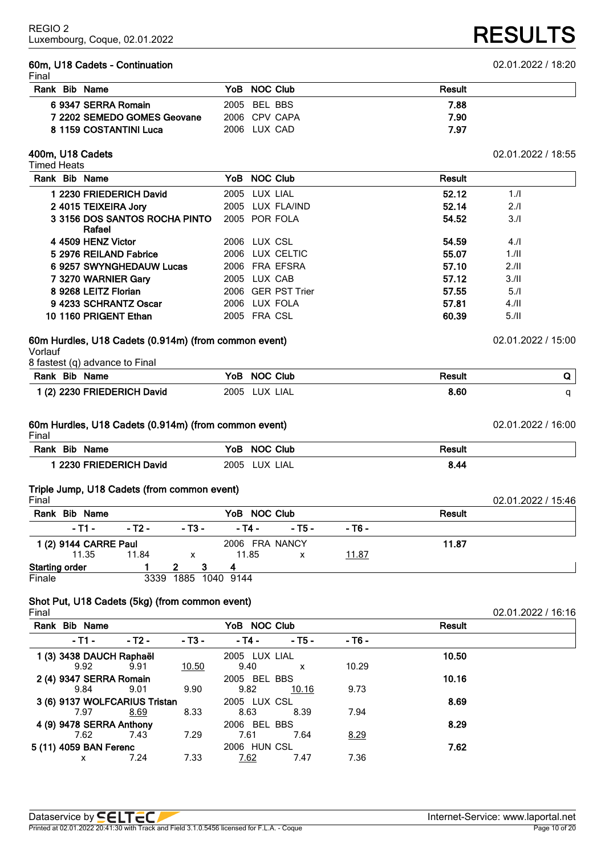### **60m, U18 Cadets - Continuation** 02.01.2022 / 18:20 Final

| Rank Bib Name               | YoB NOC Club  | Result |
|-----------------------------|---------------|--------|
| 6 9347 SERRA Romain         | 2005 BEL BBS  | 7.88   |
| 7 2202 SEMEDO GOMES Geovane | 2006 CPV CAPA | 7.90   |
| 8 1159 COSTANTINI Luca      | 2006 LUX CAD  | 7.97   |

# **400m, U18 Cadets** 02.01.2022 / 18:55

Timed Heats **Rank Bib Name YoB NOC Club Result 2230 FRIEDERICH David** 2005 LUX LIAL **52.12** 1./I **4015 TEIXEIRA Jory** 2005 LUX FLA/IND **52.14** 2./I **3156 DOS SANTOS ROCHA PINTO Rafael** POR FOLA **54.52** 3./I **4509 HENZ Victor** 2006 LUX CSL **54.59** 4./I **2976 REILAND Fabrice** 2006 LUX CELTIC **55.07** 1./II **9257 SWYNGHEDAUW Lucas** 2006 FRA EFSRA **57.10** 2./II **3270 WARNIER Gary** 2005 LUX CAB **57.12** 3./II **9268 LEITZ Florian** 2006 GER PST Trier **57.55** 5./I **4233 SCHRANTZ Oscar** 2006 LUX FOLA **57.81** 4./II **1160 PRIGENT Ethan** 2005 FRA CSL **60.39** 5./II

# **60m Hurdles, U18 Cadets (0.914m) (from common event)** 02.01.2022 / 15:00

Vorlauf

| 8 fastest (q) advance to Final |  |
|--------------------------------|--|
|--------------------------------|--|

| Bib<br>Rank<br>Name         | <b>NOC Club</b><br>YoB | Result |  |
|-----------------------------|------------------------|--------|--|
| 1 (2) 2230 FRIEDERICH David | 2005<br>_UX -<br>_IAL  | 8.60   |  |

#### **60m Hurdles, U18 Cadets (0.914m) (from common event)** 02.01.2022 / 16:00 Final

| н шаг                                         |                            |        |  |
|-----------------------------------------------|----------------------------|--------|--|
| Rank<br><b>Bib</b><br><b>Name</b>             | Club<br><b>NOC</b><br>YoB  | Result |  |
| י 2230 ⊓<br><b>David</b><br><b>FRIEDERICH</b> | <b>TIX</b><br>2005<br>-IAL | 8.44   |  |

# **Triple Jump, U18 Cadets (from common event)**

| Final                 |                       |        |                           |                |        |        |               | 02.01.2022 / 15:46 |
|-----------------------|-----------------------|--------|---------------------------|----------------|--------|--------|---------------|--------------------|
| Rank                  | <b>Bib Name</b>       |        |                           | YoB NOC Club   |        |        | <b>Result</b> |                    |
|                       | $-$ T1 $-$            | - T2 - | - T3 -                    | - T4 -         | - T5 - | - T6 - |               |                    |
|                       | 1 (2) 9144 CARRE Paul |        |                           | 2006 FRA NANCY |        |        | 11.87         |                    |
|                       | 11.35                 | 11.84  | $\boldsymbol{\mathsf{x}}$ | 11.85          | x      | 11.87  |               |                    |
| <b>Starting order</b> |                       |        |                           |                |        |        |               |                    |
| Finale                |                       | 3339   | 1885 1040 9144            |                |        |        |               |                    |

# **Shot Put, U18 Cadets (5kg) (from common event)**

Final 02.01.2022 / 16:16

| Rank Bib Name<br>YoB NOC Club |        |        |               |              |        | <b>Result</b> |  |
|-------------------------------|--------|--------|---------------|--------------|--------|---------------|--|
| - T1 -                        | - T2 - | - T3 - | - T4 -        | $-15-$       | - T6 - |               |  |
| 1 (3) 3438 DAUCH Raphaël      |        |        | 2005 LUX LIAL |              |        | 10.50         |  |
| 9.92                          | 9.91   | 10.50  | 9.40          | x            | 10.29  |               |  |
| 2 (4) 9347 SERRA Romain       |        |        | 2005 BEL BBS  |              |        | 10.16         |  |
| 9.84                          | 9.01   | 9.90   | 9.82          | <u>10.16</u> | 9.73   |               |  |
| 3 (6) 9137 WOLFCARIUS Tristan |        |        | 2005 LUX CSL  |              |        | 8.69          |  |
| 7.97                          | 8.69   | 8.33   | 8.63          | 8.39         | 7.94   |               |  |
| 4 (9) 9478 SERRA Anthony      |        |        | 2006 BEL BBS  |              |        | 8.29          |  |
| 7.62                          | 7.43   | 7.29   | 7.61          | 7.64         | 8.29   |               |  |
| 5 (11) 4059 BAN Ferenc        |        |        | 2006 HUN CSL  |              |        | 7.62          |  |
| x                             | 7.24   | 7.33   | 7.62          | 7.47         | 7.36   |               |  |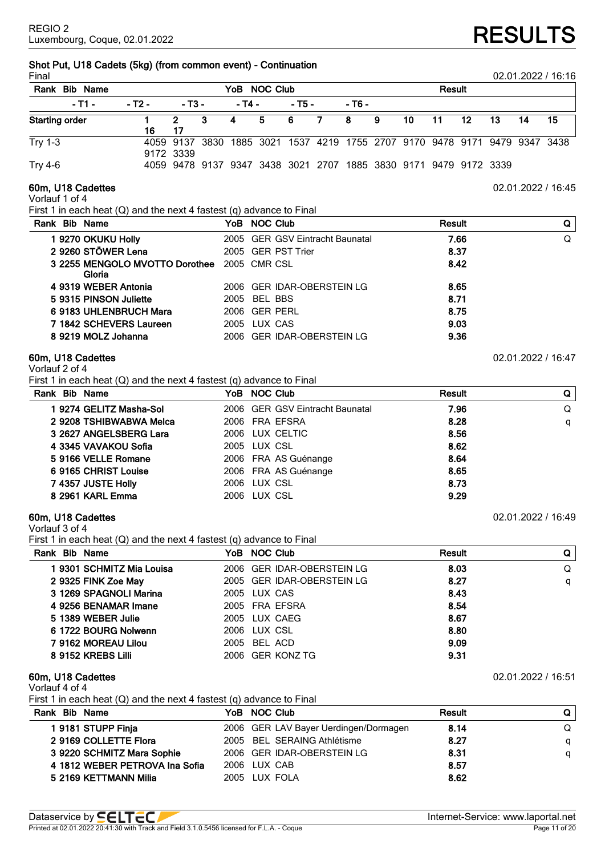# **Shot Put, U18 Cadets (5kg) (from common event) - Continuation**

| Final                   |        |           |   |        |              |        |     |                                                                            |    |    |        |    |    |    | 02.01.2022 / 16:16 |
|-------------------------|--------|-----------|---|--------|--------------|--------|-----|----------------------------------------------------------------------------|----|----|--------|----|----|----|--------------------|
| <b>Bib Name</b><br>Rank |        |           |   |        | YoB NOC Club |        |     |                                                                            |    |    | Result |    |    |    |                    |
| $-11 -$                 | - T2 - | $-13-$    |   | - T4 - |              | - T5 - |     | - T6 -                                                                     |    |    |        |    |    |    |                    |
| <b>Starting order</b>   | 16     | 2.<br>17  | 3 | 4      | 5 6          |        | - 7 | - 8                                                                        | -9 | 10 | 11     | 12 | 13 | 14 | 15                 |
| <b>Try 1-3</b>          |        | 9172 3339 |   |        |              |        |     | 4059 9137 3830 1885 3021 1537 4219 1755 2707 9170 9478 9171 9479 9347 3438 |    |    |        |    |    |    |                    |
| <b>Try 4-6</b>          |        |           |   |        |              |        |     | 4059 9478 9137 9347 3438 3021 2707 1885 3830 9171 9479 9172 3339           |    |    |        |    |    |    |                    |

Vorlauf 1 of 4

First 1 in each heat (Q) and the next 4 fastest (q) advance to Final

| Rank Bib Name |                                          | YoB NOC Club                    | Result | Q |
|---------------|------------------------------------------|---------------------------------|--------|---|
|               | 1 9270 OKUKU Holly                       | 2005 GER GSV Eintracht Baunatal | 7.66   | Q |
|               | 2 9260 STÖWER Lena                       | 2005 GER PST Trier              | 8.37   |   |
|               | 3 2255 MENGOLO MVOTTO Dorothee<br>Gloria | 2005 CMR CSL                    | 8.42   |   |
|               | 4 9319 WEBER Antonia                     | 2006 GER IDAR-OBERSTEIN LG      | 8.65   |   |
|               | 59315 PINSON Juliette                    | 2005 BEL BBS                    | 8.71   |   |
|               | 6 9183 UHLENBRUCH Mara                   | 2006 GER PERL                   | 8.75   |   |
|               | 7 1842 SCHEVERS Laureen                  | 2005 LUX CAS                    | 9.03   |   |
|               | 8 9219 MOLZ Johanna                      | 2006 GER IDAR-OBERSTEIN LG      | 9.36   |   |
|               |                                          |                                 |        |   |

# **60m, U18 Cadettes** 02.01.2022 / 16:47

Vorlauf 2 of 4

First 1 in each heat (Q) and the next 4 fastest (q) advance to Final

| Rank Bib Name           | YoB NOC Club                    | Result | Q I |
|-------------------------|---------------------------------|--------|-----|
| 1 9274 GELITZ Masha-Sol | 2006 GER GSV Eintracht Baunatal | 7.96   | Q   |
| 2 9208 TSHIBWABWA Melca | 2006 FRA EFSRA                  | 8.28   | q   |
| 3 2627 ANGELSBERG Lara  | 2006 LUX CELTIC                 | 8.56   |     |
| 4 3345 VAVAKOU Sofia    | 2005 LUX CSL                    | 8.62   |     |
| 59166 VELLE Romane      | 2006 FRA AS Guénange            | 8.64   |     |
| 6 9165 CHRIST Louise    | 2006 FRA AS Guénange            | 8.65   |     |
| 7 4357 JUSTE Holly      | 2006 LUX CSL                    | 8.73   |     |
| 8 2961 KARL Emma        | 2006 LUX CSL                    | 9.29   |     |

# **60m, U18 Cadettes** 02.01.2022 / 16:49

Vorlauf 3 of 4

First 1 in each heat (Q) and the next 4 fastest (q) advance to Final

| Rank Bib Name             | YoB NOC Club               | Result | Q |
|---------------------------|----------------------------|--------|---|
| I 9301 SCHMITZ Mia Louisa | 2006 GER IDAR-OBERSTEIN LG | 8.03   | Q |
| 2 9325 FINK Zoe May       | 2005 GER IDAR-OBERSTEIN LG | 8.27   | q |
| 3 1269 SPAGNOLI Marina    | 2005 LUX CAS               | 8.43   |   |
| 4 9256 BENAMAR Imane      | 2005 FRA EFSRA             | 8.54   |   |
| 5 1389 WEBER Julie        | 2005 LUX CAEG              | 8.67   |   |
| 6 1722 BOURG Nolwenn      | 2006 LUX CSL               | 8.80   |   |
| 7 9162 MOREAU Lilou       | 2005 BEL ACD               | 9.09   |   |
| 8 9152 KREBS Lilli        | 2006 GER KONZ TG           | 9.31   |   |

# **60m, U18 Cadettes** 02.01.2022 / 16:51

Vorlauf 4 of 4

First 1 in each heat (Q) and the next 4 fastest (q) advance to Final

| Rank Bib Name                  | YoB NOC Club                          | <b>Result</b> | Q |
|--------------------------------|---------------------------------------|---------------|---|
| 19181 STUPP Finja              | 2006 GER LAV Bayer Uerdingen/Dormagen | 8.14          | Q |
| 2 9169 COLLETTE Flora          | 2005 BEL SERAING Athlétisme           | 8.27          | a |
| 3 9220 SCHMITZ Mara Sophie     | 2006 GER IDAR-OBERSTEIN LG            | 8.31          | a |
| 4 1812 WEBER PETROVA Ina Sofia | 2006 LUX CAB                          | 8.57          |   |
| 5 2169 KETTMANN Milia          | 2005 LUX FOLA                         | 8.62          |   |



**60m, U18 Cadettes** 02.01.2022 / 16:45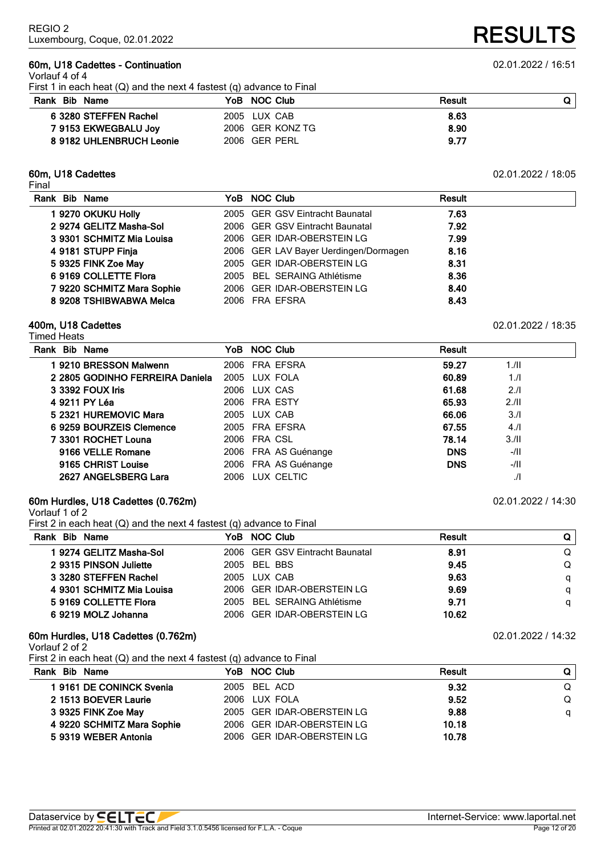# **60m, U18 Cadettes - Continuation** 02.01.2022 / 16:51

Vorlauf 4 of 4

First 1 in each heat (Q) and the next 4 fastest (q) advance to Final

| Rank Bib Name            | YoB NOC Club     | Result |  |
|--------------------------|------------------|--------|--|
| 6 3280 STEFFEN Rachel    | 2005 LUX CAB     | 8.63   |  |
| 7 9153 EKWEGBALU Joy     | 2006 GER KONZ TG | 8.90   |  |
| 8 9182 UHLENBRUCH Leonie | 2006 GER PERL    | 9.77   |  |

# **60m, U18 Cadettes** 02.01.2022 / 18:05

Final

| Rank Bib Name |                            | YoB NOC Club                          | <b>Result</b> |
|---------------|----------------------------|---------------------------------------|---------------|
|               | 1 9270 OKUKU Holly         | 2005 GER GSV Eintracht Baunatal       | 7.63          |
|               | 2 9274 GELITZ Masha-Sol    | 2006 GER GSV Eintracht Baunatal       | 7.92          |
|               | 3 9301 SCHMITZ Mia Louisa  | 2006 GER IDAR-OBERSTEIN LG            | 7.99          |
|               | 4 9181 STUPP Finja         | 2006 GER LAV Bayer Uerdingen/Dormagen | 8.16          |
|               | 5 9325 FINK Zoe May        | 2005 GER IDAR-OBERSTEIN LG            | 8.31          |
|               | 6 9169 COLLETTE Flora      | 2005 BEL SERAING Athlétisme           | 8.36          |
|               | 7 9220 SCHMITZ Mara Sophie | 2006 GER IDAR-OBERSTEIN LG            | 8.40          |
|               | 8 9208 TSHIBWABWA Melca    | 2006 FRA EFSRA                        | 8.43          |
|               |                            |                                       |               |

## **400m, U18 Cadettes** 02.01.2022 / 18:35

| Timed Heats                     |  |                      |            |               |  |  |  |  |  |
|---------------------------------|--|----------------------|------------|---------------|--|--|--|--|--|
| Rank Bib Name                   |  | YoB NOC Club         | Result     |               |  |  |  |  |  |
| 1 9210 BRESSON Malwenn          |  | 2006 FRA EFSRA       | 59.27      | 1.11          |  |  |  |  |  |
| 2 2805 GODINHO FERREIRA Daniela |  | 2005 LUX FOLA        | 60.89      | 1.1           |  |  |  |  |  |
| 3 3392 FOUX Iris                |  | 2006 LUX CAS         | 61.68      | 2.11          |  |  |  |  |  |
| 4 9211 PY Léa                   |  | 2006 FRA ESTY        | 65.93      | 2.11          |  |  |  |  |  |
| 5 2321 HUREMOVIC Mara           |  | 2005 LUX CAB         | 66.06      | 3.1           |  |  |  |  |  |
| 6 9259 BOURZEIS Clemence        |  | 2005 FRA EFSRA       | 67.55      | 4.11          |  |  |  |  |  |
| 7 3301 ROCHET Louna             |  | 2006 FRA CSL         | 78.14      | 3.11          |  |  |  |  |  |
| 9166 VELLE Romane               |  | 2006 FRA AS Guénange | <b>DNS</b> | $-/II$        |  |  |  |  |  |
| 9165 CHRIST Louise              |  | 2006 FRA AS Guénange | <b>DNS</b> | $-/$ II       |  |  |  |  |  |
| 2627 ANGELSBERG Lara            |  | 2006 LUX CELTIC      |            | $\mathcal{L}$ |  |  |  |  |  |

# **60m Hurdles, U18 Cadettes (0.762m)** 02.01.2022 / 14:30

Vorlauf 1 of 2

First 2 in each heat (Q) and the next 4 fastest (q) advance to Final

| Rank Bib Name             | YoB NOC Club                    | Result |   |
|---------------------------|---------------------------------|--------|---|
| 1 9274 GELITZ Masha-Sol   | 2006 GER GSV Eintracht Baunatal | 8.91   | Q |
| 2 9315 PINSON Juliette    | 2005 BEL BBS                    | 9.45   | Q |
| 3 3280 STEFFEN Rachel     | 2005 LUX CAB                    | 9.63   |   |
| 4 9301 SCHMITZ Mia Louisa | 2006 GER IDAR-OBERSTEIN LG      | 9.69   |   |
| 5 9169 COLLETTE Flora     | 2005 BEL SERAING Athlétisme     | 9.71   | a |
| 6 9219 MOLZ Johanna       | 2006 GER IDAR-OBERSTEIN LG      | 10.62  |   |

# **60m Hurdles, U18 Cadettes (0.762m)** 02.01.2022 / 14:32

Vorlauf 2 of 2

First 2 in each heat (Q) and the next 4 fastest (q) advance to Final

| Rank Bib Name              | YoB NOC Club               | Result | Q |
|----------------------------|----------------------------|--------|---|
| 19161 DE CONINCK Svenia    | 2005 BEL ACD               | 9.32   | Q |
| 2 1513 BOEVER Laurie       | 2006 LUX FOLA              | 9.52   |   |
| 3 9325 FINK Zoe May        | 2005 GER IDAR-OBERSTEIN LG | 9.88   | a |
| 4 9220 SCHMITZ Mara Sophie | 2006 GER IDAR-OBERSTEIN LG | 10.18  |   |
| 5 9319 WEBER Antonia       | 2006 GER IDAR-OBERSTEIN LG | 10.78  |   |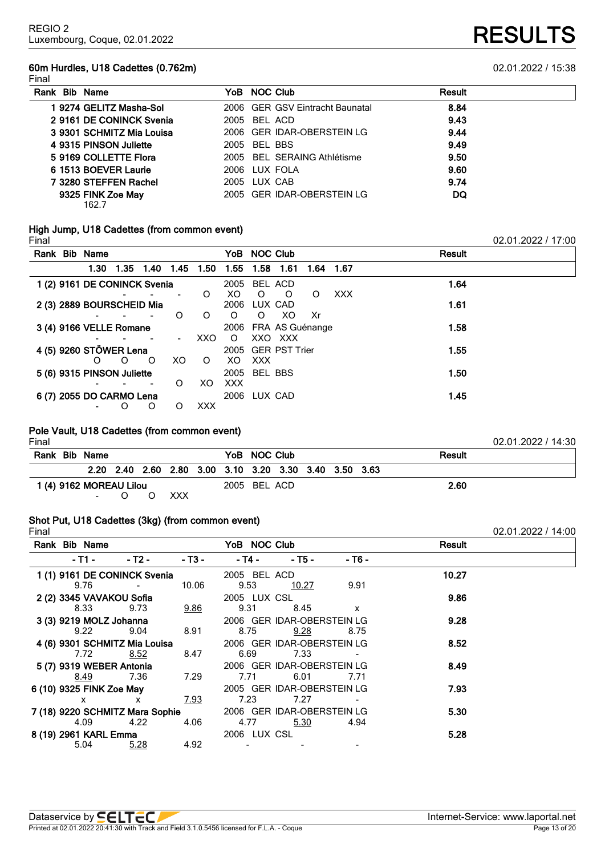# **60m Hurdles, U18 Cadettes (0.762m)** 02.01.2022 / 15:38

02.01.2022 / 17:00

**RESULTS** 

| Rank Bib Name              | YoB NOC Club                    | <b>Result</b> |  |
|----------------------------|---------------------------------|---------------|--|
| 1 9274 GELITZ Masha-Sol    | 2006 GER GSV Eintracht Baunatal | 8.84          |  |
| 2 9161 DE CONINCK Svenia   | 2005 BEL ACD                    | 9.43          |  |
| 3 9301 SCHMITZ Mia Louisa  | 2006 GER IDAR-OBERSTEIN LG      | 9.44          |  |
| 4 9315 PINSON Juliette     | 2005 BEL BBS                    | 9.49          |  |
| 5 9169 COLLETTE Flora      | 2005 BEL SERAING Athlétisme     | 9.50          |  |
| 6 1513 BOEVER Laurie       | 2006 IUX FOLA                   | 9.60          |  |
| 7 3280 STEFFEN Rachel      | 2005 LUX CAB                    | 9.74          |  |
| 9325 FINK Zoe May<br>162.7 | 2005 GER IDAR-OBERSTEIN LG      | DQ            |  |

# **High Jump, U18 Cadettes (from common event)**

| Rank Bib Name                |      |          |                          |      |            |              | YoB NOC Club |                      |           |     | Result |
|------------------------------|------|----------|--------------------------|------|------------|--------------|--------------|----------------------|-----------|-----|--------|
|                              | 1.30 | - 1.35   | 1.40                     | 1.45 | 1.50       | 1.55         | 1.58         | 1.61                 | 1.64 1.67 |     |        |
| 1 (2) 9161 DE CONINCK Svenia |      |          |                          |      |            | 2005         |              | BEL ACD              |           |     | 1.64   |
|                              |      |          |                          |      | O          | XO.          | O            | O                    | O         | XXX |        |
| 2 (3) 2889 BOURSCHEID Mia    |      |          |                          |      |            | 2006         | LUX CAD      |                      |           |     | 1.61   |
|                              |      |          |                          | O    | $\circ$    | $\circ$      | O            | XO                   | Xr        |     |        |
| 3 (4) 9166 VELLE Romane      |      |          |                          |      |            |              |              | 2006 FRA AS Guénange |           |     | 1.58   |
|                              |      |          |                          |      | XXO.       | $\circ$      |              | XXO XXX              |           |     |        |
| 4 (5) 9260 STÖWER Lena       |      |          |                          |      |            |              |              | 2005 GER PST Trier   |           |     | 1.55   |
|                              | O    | $\Omega$ | $\Omega$                 | XO.  | $\circ$    | XO.          | <b>XXX</b>   |                      |           |     |        |
| 5 (6) 9315 PINSON Juliette   |      |          |                          |      |            | 2005 BEL BBS |              |                      |           |     | 1.50   |
|                              |      |          | $\overline{\phantom{a}}$ | O    | XO.        | <b>XXX</b>   |              |                      |           |     |        |
| 6 (7) 2055 DO CARMO Lena     |      |          |                          |      |            | 2006 LUX CAD |              |                      |           |     | 1.45   |
|                              |      | O        | O                        | O    | <b>XXX</b> |              |              |                      |           |     |        |

# **Pole Vault, U18 Cadettes (from common event)**

| Final                                                      |  |               |  |  |              |                                                        |              |      |  |               | 02.01.2022 / 14:30 |
|------------------------------------------------------------|--|---------------|--|--|--------------|--------------------------------------------------------|--------------|------|--|---------------|--------------------|
|                                                            |  | Rank Bib Name |  |  |              |                                                        | YoB NOC Club |      |  | <b>Result</b> |                    |
|                                                            |  |               |  |  |              | 2.20 2.40 2.60 2.80 3.00 3.10 3.20 3.30 3.40 3.50 3.63 |              |      |  |               |                    |
| 1 (4) 9162 MOREAU Lilou<br>XXX<br><b>Contract Contract</b> |  |               |  |  | 2005 BEL ACD |                                                        |              | 2.60 |  |               |                    |

# **Shot Put, U18 Cadettes (3kg) (from common event)**

| Final |                                 |        |        |              |                            |        |        | 02.01.2022 / 14:00 |
|-------|---------------------------------|--------|--------|--------------|----------------------------|--------|--------|--------------------|
|       | Rank Bib Name                   |        |        | YoB NOC Club |                            |        | Result |                    |
|       | - T1 -                          | - Т2 - | - T3 - | - T4 -       | $-$ T5 $-$                 | - T6 - |        |                    |
|       | 1 (1) 9161 DE CONINCK Svenia    |        |        | 2005 BEL ACD |                            |        | 10.27  |                    |
|       | 9.76                            |        | 10.06  | 9.53         | <u> 10.27</u>              | 9.91   |        |                    |
|       | 2 (2) 3345 VAVAKOU Sofia        |        |        | 2005 LUX CSL |                            |        | 9.86   |                    |
|       | 8.33                            | 9.73   | 9.86   | 9.31         | 8.45                       | X      |        |                    |
|       | 3 (3) 9219 MOLZ Johanna         |        |        |              | 2006 GER IDAR-OBERSTEIN LG |        | 9.28   |                    |
|       | 9.22                            | 9.04   | 8.91   | 8.75         | 9.28                       | 8.75   |        |                    |
|       | 4 (6) 9301 SCHMITZ Mia Louisa   |        |        |              | 2006 GER IDAR-OBERSTEIN LG |        | 8.52   |                    |
|       | 7.72                            | 8.52   | 8.47   | 6.69         | 7.33                       |        |        |                    |
|       | 5 (7) 9319 WEBER Antonia        |        |        |              | 2006 GER IDAR-OBERSTEIN LG |        | 8.49   |                    |
|       | <u>8.49</u>                     | 7.36   | 7.29   | 7.71         | 6.01                       | 7.71   |        |                    |
|       | 6 (10) 9325 FINK Zoe May        |        |        |              | 2005 GER IDAR-OBERSTEIN LG |        | 7.93   |                    |
|       | x                               | x      | 7.93   | 7.23         | 7.27                       |        |        |                    |
|       | 7 (18) 9220 SCHMITZ Mara Sophie |        |        |              | 2006 GER IDAR-OBERSTEIN LG |        | 5.30   |                    |
|       | 4.09                            | 4.22   | 4.06   | 4.77         | 5.30                       | 4.94   |        |                    |
|       | 8 (19) 2961 KARL Emma           |        |        | 2006 LUX CSL |                            |        | 5.28   |                    |
|       | 5.04                            | 5.28   | 4.92   |              |                            |        |        |                    |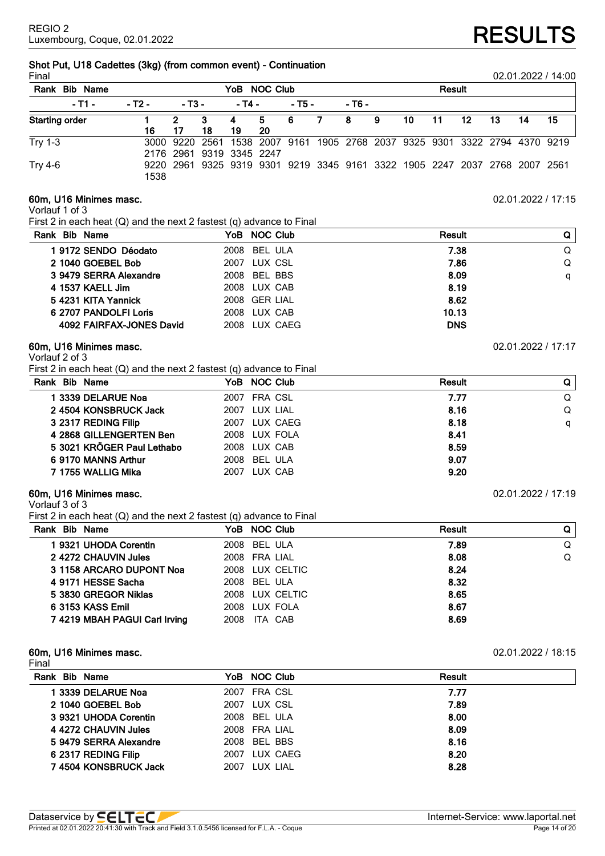# **Shot Put, U18 Cadettes (3kg) (from common event) - Continuation**

| Final                   |        |              |                          |          |          |        |                |        |   |        |    |    |    |                                                                            | 02.01.2022 / 14:00 |
|-------------------------|--------|--------------|--------------------------|----------|----------|--------|----------------|--------|---|--------|----|----|----|----------------------------------------------------------------------------|--------------------|
| Rank<br><b>Bib Name</b> |        | YoB NOC Club |                          |          |          |        |                |        |   | Result |    |    |    |                                                                            |                    |
| $-11 -$                 | - T2 - | $-13-$       |                          | - T4 -   |          | $-75-$ |                | - T6 - |   |        |    |    |    |                                                                            |                    |
| <b>Starting order</b>   | 16     | 2<br>17      | 3<br>18                  | -4<br>19 | 5.<br>20 | -6     | $\overline{7}$ | 8      | 9 | 10     | 11 | 12 | 13 | 14                                                                         | 15                 |
| <b>Try 1-3</b>          |        |              | 2176 2961 9319 3345 2247 |          |          |        |                |        |   |        |    |    |    | 3000 9220 2561 1538 2007 9161 1905 2768 2037 9325 9301 3322 2794 4370 9219 |                    |
| <b>Try 4-6</b>          | 1538   |              |                          |          |          |        |                |        |   |        |    |    |    | 9220 2961 9325 9319 9301 9219 3345 9161 3322 1905 2247 2037 2768 2007 2561 |                    |

# **60m, U16 Minimes masc.** 02.01.2022 / 17:15

Vorlauf 1 of 3

First 2 in each heat (Q) and the next 2 fastest (q) advance to Final

| Rank Bib Name            | YoB NOC Club        | Result     | Q |
|--------------------------|---------------------|------------|---|
| 1 9172 SENDO Déodato     | 2008 BEL ULA        | 7.38       | Q |
| 2 1040 GOEBEL Bob        | <b>2007 LUX CSL</b> | 7.86       | Q |
| 3 9479 SERRA Alexandre   | 2008 BEL BBS        | 8.09       | q |
| 4 1537 KAELL Jim         | 2008 LUX CAB        | 8.19       |   |
| 5 4231 KITA Yannick      | 2008 GER LIAL       | 8.62       |   |
| 6 2707 PANDOLFI Loris    | 2008 LUX CAB        | 10.13      |   |
| 4092 FAIRFAX-JONES David | 2008 LUX CAEG       | <b>DNS</b> |   |
|                          |                     |            |   |

# **60m, U16 Minimes masc.** 02.01.2022 / 17:17

# Vorlauf 2 of 3

First 2 in each heat (Q) and the next 2 fastest (q) advance to Final

| Rank Bib Name              | YoB NOC Club  | <b>Result</b> | Q |
|----------------------------|---------------|---------------|---|
| 1 3339 DELARUE Noa         | 2007 FRA CSL  | 7.77          | Q |
| 24504 KONSBRUCK Jack       | 2007 LUX LIAL | 8.16          | Q |
| 3 2317 REDING Filip        | 2007 LUX CAEG | 8.18          | q |
| 4 2868 GILLENGERTEN Ben    | 2008 LUX FOLA | 8.41          |   |
| 5 3021 KRÖGER Paul Lethabo | 2008 LUX CAB  | 8.59          |   |
| 6 9170 MANNS Arthur        | 2008 BEL ULA  | 9.07          |   |
| 7 1755 WALLIG Mika         | 2007 LUX CAB  | 9.20          |   |
|                            |               |               |   |

# **60m, U16 Minimes masc.** 02.01.2022 / 17:19

# Vorlauf 3 of 3

First 2 in each heat (Q) and the next 2 fastest (q) advance to Final

|                               | $\ddot{\phantom{a}}$ |        |   |
|-------------------------------|----------------------|--------|---|
| Rank Bib Name                 | YoB NOC Club         | Result | Q |
| 1 9321 UHODA Corentin         | 2008 BEL ULA         | 7.89   | Q |
| 2 4272 CHAUVIN Jules          | 2008 FRA LIAL        | 8.08   | Q |
| 3 1158 ARCARO DUPONT Noa      | 2008 LUX CELTIC      | 8.24   |   |
| 4 9171 HESSE Sacha            | 2008 BEL ULA         | 8.32   |   |
| 5 3830 GREGOR Niklas          | 2008 LUX CELTIC      | 8.65   |   |
| 6 3153 KASS Emil              | 2008 LUX FOLA        | 8.67   |   |
| 7 4219 MBAH PAGUI Carl Irving | ITA CAB<br>2008      | 8.69   |   |
|                               |                      |        |   |

#### **60m, U16 Minimes masc.** 02.01.2022 / 18:15 Final

| .                      |               |               |  |
|------------------------|---------------|---------------|--|
| Rank Bib Name          | YoB NOC Club  | <b>Result</b> |  |
| 1 3339 DELARUE Noa     | 2007 FRA CSL  | 7.77          |  |
| 2 1040 GOEBEL Bob      | 2007 LUX CSL  | 7.89          |  |
| 3 9321 UHODA Corentin  | 2008 BEL ULA  | 8.00          |  |
| 4 4272 CHAUVIN Jules   | 2008 FRA LIAL | 8.09          |  |
| 5 9479 SERRA Alexandre | 2008 BEL BBS  | 8.16          |  |
| 6 2317 REDING Filip    | 2007 LUX CAEG | 8.20          |  |
| 74504 KONSBRUCK Jack   | 2007 LUX LIAL | 8.28          |  |
|                        |               |               |  |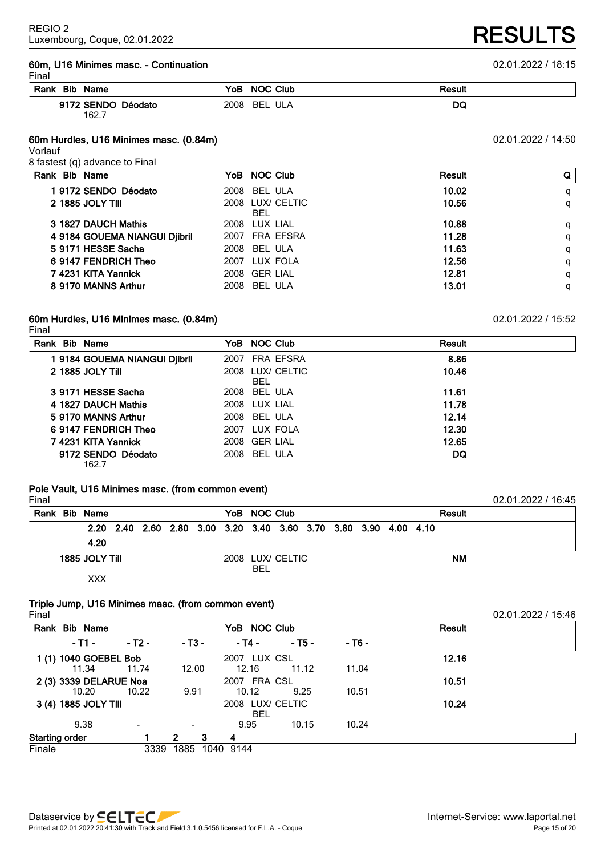# **60m, U16 Minimes masc. - Continuation** 02.01.2022 / 18:15

| . .<br>× |  |  |  |
|----------|--|--|--|
|----------|--|--|--|

| гінан              |                           |        |  |
|--------------------|---------------------------|--------|--|
| Rank Bib Name      | YoB NOC Club              | Result |  |
| 9172 SENDO Déodato | 2008<br>ULA<br><b>BEL</b> | DQ     |  |

## **60m Hurdles, U16 Minimes masc. (0.84m)** 02.01.2022 / 14:50

Vorlauf

8 fastest (q) advance to Final

162.7

| Rank Bib Name                 | YoB NOC Club                   | Result | Q |
|-------------------------------|--------------------------------|--------|---|
| 19172 SENDO Déodato           | 2008 BEL ULA                   | 10.02  | q |
| 2 1885 JOLY TIII              | 2008 LUX/ CELTIC<br><b>BEL</b> | 10.56  | q |
| 3 1827 DAUCH Mathis           | 2008 LUX LIAL                  | 10.88  | q |
| 4 9184 GOUEMA NIANGUI Djibril | 2007 FRA EFSRA                 | 11.28  | q |
| 5 9171 HESSE Sacha            | 2008 BEL ULA                   | 11.63  | q |
| 6 9147 FENDRICH Theo          | 2007 LUX FOLA                  | 12.56  | q |
| 7 4231 KITA Yannick           | 2008 GER LIAL                  | 12.81  | q |
| 8 9170 MANNS Arthur           | 2008 BEL ULA                   | 13.01  | q |
|                               |                                |        |   |

# **60m Hurdles, U16 Minimes masc. (0.84m)** 02.01.2022 / 15:52

Final

| Rank Bib Name               |                              | YoB NOC Club                   | <b>Result</b> |
|-----------------------------|------------------------------|--------------------------------|---------------|
|                             | 19184 GOUEMA NIANGUI Djibril | 2007 FRA EFSRA                 | 8.86          |
| 2 1885 JOLY TIII            |                              | 2008 LUX/ CELTIC<br><b>BEL</b> | 10.46         |
| 3 9171 HESSE Sacha          |                              | 2008 BEL ULA                   | 11.61         |
| 4 1827 DAUCH Mathis         |                              | 2008 LUX LIAL                  | 11.78         |
| 5 9170 MANNS Arthur         |                              | 2008 BEL ULA                   | 12.14         |
| 6 9147 FENDRICH Theo        |                              | 2007 LUX FOLA                  | 12.30         |
| 7 4231 KITA Yannick         |                              | 2008 GER LIAL                  | 12.65         |
| 9172 SENDO Déodato<br>162.7 |                              | 2008 BEL ULA                   | DQ            |

# **Pole Vault, U16 Minimes masc. (from common event)**

| Final |                |  |  |              |                                                                  |  |  |               | 02.01.2022 / 16:45 |  |
|-------|----------------|--|--|--------------|------------------------------------------------------------------|--|--|---------------|--------------------|--|
|       | Rank Bib Name  |  |  | YoB NOC Club |                                                                  |  |  | <b>Result</b> |                    |  |
|       |                |  |  |              | 2.20 2.40 2.60 2.80 3.00 3.20 3.40 3.60 3.70 3.80 3.90 4.00 4.10 |  |  |               |                    |  |
|       | 4.20           |  |  |              |                                                                  |  |  |               |                    |  |
|       | 1885 JOLY TIIL |  |  | <b>BEL</b>   | 2008 LUX/ CELTIC                                                 |  |  | <b>NM</b>     |                    |  |
|       | xxx            |  |  |              |                                                                  |  |  |               |                    |  |

# **Triple Jump, U16 Minimes masc. (from common event)**

| Rank                  | <b>Bib Name</b>        |                |                          |      | YoB NOC Club |                  |              | <b>Result</b> |
|-----------------------|------------------------|----------------|--------------------------|------|--------------|------------------|--------------|---------------|
|                       | - T1 -                 | $-$ T2 $-$     | $-$ T <sub>3</sub> $-$   |      | - T4 -       | $-75-$           | - T6 -       |               |
|                       | 1 (1) 1040 GOEBEL Bob  |                |                          |      | 2007 LUX CSL |                  |              | 12.16         |
|                       | 11.34                  | 11.74          | 12.00                    |      | 12.16        | 11.12            | 11.04        |               |
|                       | 2 (3) 3339 DELARUE Noa |                |                          |      | 2007 FRA CSL |                  |              | 10.51         |
|                       | 10.20                  | 10.22          | 9.91                     |      | 10.12        | 9.25             | <u>10.51</u> |               |
|                       | 3 (4) 1885 JOLY Till   |                |                          |      |              | 2008 LUX/ CELTIC |              | 10.24         |
|                       |                        |                |                          |      | <b>BEL</b>   |                  |              |               |
|                       | 9.38                   | $\blacksquare$ | $\overline{\phantom{a}}$ |      | 9.95         | 10.15            | 10.24        |               |
| <b>Starting order</b> |                        |                | 2                        | 3    | 4            |                  |              |               |
| Finale                |                        | 3339           | 1885                     | 1040 | 9144         |                  |              |               |

02.01.2022 / 15:46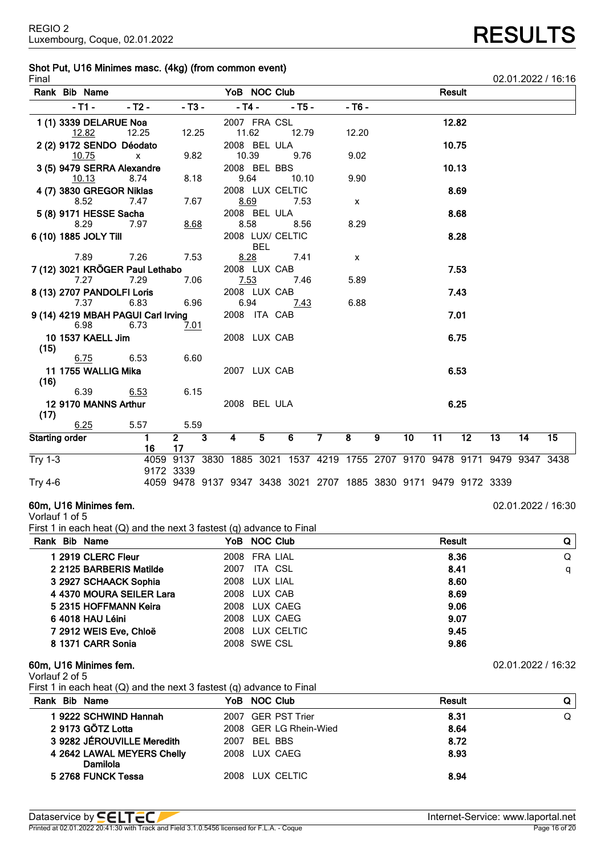# **Shot Put, U16 Minimes masc. (4kg) (from common event)**

| Final                 |                            |                                    |                                                                            |              |                  |            |        |                |              |   |    |        |      |    |    | 02.01.2022 / 16:16 |
|-----------------------|----------------------------|------------------------------------|----------------------------------------------------------------------------|--------------|------------------|------------|--------|----------------|--------------|---|----|--------|------|----|----|--------------------|
|                       | Rank Bib Name              |                                    |                                                                            |              | YoB NOC Club     |            |        |                |              |   |    | Result |      |    |    |                    |
|                       | $-T1 -$                    | $-72-$                             | $- T3 -$                                                                   |              | $-$ T4 $-$       |            | $-75-$ |                | $-76-$       |   |    |        |      |    |    |                    |
|                       | 1 (1) 3339 DELARUE Noa     |                                    |                                                                            |              | 2007 FRA CSL     |            |        |                |              |   |    | 12.82  |      |    |    |                    |
|                       | 12.82                      | 12.25                              | 12.25                                                                      |              | 11.62            |            | 12.79  |                | 12.20        |   |    |        |      |    |    |                    |
|                       | 2 (2) 9172 SENDO Déodato   |                                    |                                                                            |              | 2008 BEL ULA     |            |        |                |              |   |    | 10.75  |      |    |    |                    |
|                       | 10.75                      | $\mathsf{x}$                       | 9.82                                                                       |              | 10.39            |            | 9.76   |                | 9.02         |   |    |        |      |    |    |                    |
|                       | 3 (5) 9479 SERRA Alexandre |                                    |                                                                            |              | 2008 BEL BBS     |            |        |                |              |   |    | 10.13  |      |    |    |                    |
|                       | 10.13                      | 8.74                               | 8.18                                                                       |              | 9.64             |            | 10.10  |                | 9.90         |   |    |        |      |    |    |                    |
|                       | 4 (7) 3830 GREGOR Niklas   |                                    |                                                                            |              | 2008 LUX CELTIC  |            |        |                |              |   |    |        | 8.69 |    |    |                    |
|                       | 8.52                       | 7.47                               | 7.67                                                                       |              | 8.69             |            | 7.53   |                | $\mathsf{x}$ |   |    |        |      |    |    |                    |
|                       | 5 (8) 9171 HESSE Sacha     |                                    |                                                                            |              | 2008 BEL ULA     |            |        |                |              |   |    |        | 8.68 |    |    |                    |
|                       | 8.29                       | 7.97                               | 8.68                                                                       |              | 8.58             |            | 8.56   |                | 8.29         |   |    |        |      |    |    |                    |
|                       | 6 (10) 1885 JOLY Till      |                                    |                                                                            |              | 2008 LUX/ CELTIC |            |        |                |              |   |    |        | 8.28 |    |    |                    |
|                       |                            |                                    |                                                                            |              |                  | <b>BEL</b> |        |                |              |   |    |        |      |    |    |                    |
|                       | 7.89                       | 7.26                               | 7.53                                                                       |              | 8.28             |            | 7.41   |                | $\mathsf{x}$ |   |    |        |      |    |    |                    |
|                       |                            | 7 (12) 3021 KRÖGER Paul Lethabo    |                                                                            |              | 2008 LUX CAB     |            |        |                |              |   |    |        | 7.53 |    |    |                    |
|                       | 7.27                       | 7.29                               | 7.06                                                                       |              | 7.53             |            | 7.46   |                | 5.89         |   |    |        |      |    |    |                    |
|                       | 8 (13) 2707 PANDOLFI Loris |                                    |                                                                            |              | 2008 LUX CAB     |            |        |                |              |   |    |        | 7.43 |    |    |                    |
|                       | 7.37                       | 6.83                               | 6.96                                                                       |              | 6.94             |            | 7.43   |                | 6.88         |   |    |        |      |    |    |                    |
|                       |                            | 9 (14) 4219 MBAH PAGUI Carl Irving |                                                                            |              | 2008 ITA CAB     |            |        |                |              |   |    |        | 7.01 |    |    |                    |
|                       | 6.98                       | 6.73                               | 7.01                                                                       |              |                  |            |        |                |              |   |    |        |      |    |    |                    |
|                       | 10 1537 KAELL Jim          |                                    |                                                                            |              | 2008 LUX CAB     |            |        |                |              |   |    |        | 6.75 |    |    |                    |
| (15)                  |                            |                                    |                                                                            |              |                  |            |        |                |              |   |    |        |      |    |    |                    |
|                       | 6.75                       | 6.53                               | 6.60                                                                       |              |                  |            |        |                |              |   |    |        |      |    |    |                    |
|                       | 11 1755 WALLIG Mika        |                                    |                                                                            |              | 2007 LUX CAB     |            |        |                |              |   |    |        | 6.53 |    |    |                    |
| (16)                  |                            |                                    |                                                                            |              |                  |            |        |                |              |   |    |        |      |    |    |                    |
|                       | 6.39                       | 6.53                               | 6.15                                                                       |              |                  |            |        |                |              |   |    |        |      |    |    |                    |
|                       | 12 9170 MANNS Arthur       |                                    |                                                                            |              | 2008 BEL ULA     |            |        |                |              |   |    |        | 6.25 |    |    |                    |
| (17)                  |                            |                                    |                                                                            |              |                  |            |        |                |              |   |    |        |      |    |    |                    |
|                       | 6.25                       | 5.57                               | 5.59                                                                       |              |                  |            |        |                |              |   |    |        |      |    |    |                    |
| <b>Starting order</b> |                            | $\mathbf{1}$                       | 2 <sup>1</sup>                                                             | $\mathbf{3}$ | 4                | 5          | 6      | $\overline{7}$ | 8            | 9 | 10 | 11     | 12   | 13 | 14 | 15                 |
|                       |                            | 16                                 | 17                                                                         |              |                  |            |        |                |              |   |    |        |      |    |    |                    |
| <b>Try 1-3</b>        |                            |                                    | 4059 9137 3830 1885 3021 1537 4219 1755 2707 9170 9478 9171 9479 9347 3438 |              |                  |            |        |                |              |   |    |        |      |    |    |                    |
|                       |                            |                                    | 9172 3339                                                                  |              |                  |            |        |                |              |   |    |        |      |    |    |                    |
| <b>Try 4-6</b>        |                            |                                    | 4059 9478 9137 9347 3438 3021 2707 1885 3830 9171 9479 9172 3339           |              |                  |            |        |                |              |   |    |        |      |    |    |                    |
|                       |                            |                                    |                                                                            |              |                  |            |        |                |              |   |    |        |      |    |    |                    |

# **60m, U16 Minimes fem.** 02.01.2022 / 16:30

Vorlauf 1 of 5

First 1 in each heat (Q) and the next 3 fastest (q) advance to Final

| Rank Bib Name            | YoB NOC Club    | Result | Q |
|--------------------------|-----------------|--------|---|
| 1 2919 CLERC Fleur       | 2008 FRA LIAL   | 8.36   | Q |
| 2 2125 BARBERIS Matilde  | 2007 ITA CSL    | 8.41   | q |
| 3 2927 SCHAACK Sophia    | 2008 LUX LIAL   | 8.60   |   |
| 4 4370 MOURA SEILER Lara | 2008 LUX CAB    | 8.69   |   |
| 5 2315 HOFFMANN Keira    | 2008 LUX CAEG   | 9.06   |   |
| 6 4018 HAU Léini         | 2008 LUX CAEG   | 9.07   |   |
| 7 2912 WEIS Eve, Chloë   | 2008 LUX CELTIC | 9.45   |   |
| 8 1371 CARR Sonia        | 2008 SWE CSL    | 9.86   |   |

# **60m, U16 Minimes fem.** 02.01.2022 / 16:32

Vorlauf 2 of 5

First 1 in each heat (Q) and the next 3 fastest (q) advance to Final

| Rank Bib Name                          | YoB NOC Club           | <b>Result</b> | Q I |
|----------------------------------------|------------------------|---------------|-----|
| 19222 SCHWIND Hannah                   | 2007 GER PST Trier     | 8.31          | Q   |
| 2 9173 GÖTZ Lotta                      | 2008 GER LG Rhein-Wied | 8.64          |     |
| 3 9282 JÉROUVILLE Meredith             | 2007 BEL BBS           | 8.72          |     |
| 4 2642 LAWAL MEYERS Chelly<br>Damilola | 2008 LUX CAEG          | 8.93          |     |
| 5 2768 FUNCK Tessa                     | 2008 LUX CELTIC        | 8.94          |     |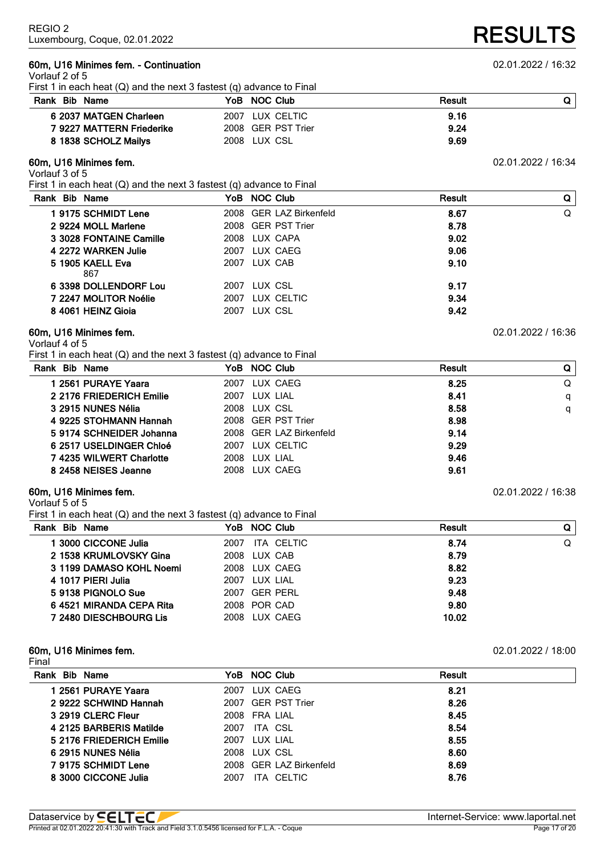# **60m, U16 Minimes fem. - Continuation** 02.01.2022 / 16:32

| Rank Bib Name                                                            | YoB NOC Club            | Result | Q                  |
|--------------------------------------------------------------------------|-------------------------|--------|--------------------|
| 6 2037 MATGEN Charleen                                                   | 2007 LUX CELTIC         | 9.16   |                    |
| 7 9227 MATTERN Friederike                                                | 2008 GER PST Trier      | 9.24   |                    |
| 8 1838 SCHOLZ Mailys                                                     | 2008 LUX CSL            | 9.69   |                    |
| 60m, U16 Minimes fem.<br>Vorlauf 3 of 5                                  |                         |        | 02.01.2022 / 16:34 |
| First 1 in each heat $(Q)$ and the next 3 fastest $(q)$ advance to Final |                         |        |                    |
| Rank Bib Name                                                            | YoB NOC Club            | Result | Q                  |
| 19175 SCHMIDT Lene                                                       | 2008 GER LAZ Birkenfeld | 8.67   | Q                  |
| 2 9224 MOLL Marlene                                                      | 2008 GER PST Trier      | 8.78   |                    |
| 3 3028 FONTAINE Camille                                                  | 2008 LUX CAPA           | 9.02   |                    |
| 4 2272 WARKEN Julie                                                      | 2007 LUX CAEG           | 9.06   |                    |
| 5 1905 KAELL Eva<br>867                                                  | 2007 LUX CAB            | 9.10   |                    |
| 6 3398 DOLLENDORF Lou                                                    | 2007 LUX CSL            | 9.17   |                    |
| 7 2247 MOLITOR Noélie                                                    | LUX CELTIC<br>2007      | 9.34   |                    |
| 8 4061 HEINZ Gioia                                                       | 2007 LUX CSL            | 9.42   |                    |
| 60m, U16 Minimes fem.                                                    |                         |        | 02.01.2022 / 16:36 |

| Rank Bib Name |                          |      | YoB NOC Club            | <b>Result</b> | Q |
|---------------|--------------------------|------|-------------------------|---------------|---|
|               | 1 2561 PURAYE Yaara      | 2007 | LUX CAEG                | 8.25          | Q |
|               | 2 2176 FRIEDERICH Emilie |      | 2007 LUX LIAL           | 8.41          | q |
|               | 3 2915 NUNES Nélia       |      | 2008 LUX CSL            | 8.58          | q |
|               | 4 9225 STOHMANN Hannah   |      | 2008 GER PST Trier      | 8.98          |   |
|               | 5 9174 SCHNEIDER Johanna |      | 2008 GER LAZ Birkenfeld | 9.14          |   |
|               | 6 2517 USELDINGER Chloé  | 2007 | LUX CELTIC              | 9.29          |   |
|               | 74235 WILWERT Charlotte  |      | 2008 LUX LIAL           | 9.46          |   |
|               | 8 2458 NEISES Jeanne     | 2008 | LUX CAEG                | 9.61          |   |

# **60m, U16 Minimes fem.** 02.01.2022 / 16:38

# Vorlauf 5 of 5

First 1 in each heat (Q) and the next 3 fastest (q) advance to Final

| Rank Bib Name            | YoB NOC Club       | <b>Result</b> | Q |
|--------------------------|--------------------|---------------|---|
| 1 3000 CICCONE Julia     | ITA CELTIC<br>2007 | 8.74          | Q |
| 2 1538 KRUMLOVSKY Gina   | 2008 LUX CAB       | 8.79          |   |
| 3 1199 DAMASO KOHL Noemi | 2008 LUX CAEG      | 8.82          |   |
| 4 1017 PIERI Julia       | 2007 LUX LIAL      | 9.23          |   |
| 59138 PIGNOLO Sue        | 2007 GER PERL      | 9.48          |   |
| 64521 MIRANDA CEPA Rita  | 2008 POR CAD       | 9.80          |   |
| 7 2480 DIESCHBOURG Lis   | 2008 LUX CAEG      | 10.02         |   |
|                          |                    |               |   |

# **60m, U16 Minimes fem.** 02.01.2022 / 18:00

| Final                    |                         |        |
|--------------------------|-------------------------|--------|
| <b>Bib Name</b><br>Rank  | YoB NOC Club            | Result |
| 1 2561 PURAYE Yaara      | 2007 LUX CAEG           | 8.21   |
| 2 9222 SCHWIND Hannah    | 2007 GER PST Trier      | 8.26   |
| 3 2919 CLERC Fleur       | 2008 FRA LIAL           | 8.45   |
| 4 2125 BARBERIS Matilde  | ITA CSL<br>2007         | 8.54   |
| 5 2176 FRIEDERICH Emilie | 2007 LUX LIAL           | 8.55   |
| 6 2915 NUNES Nélia       | 2008 LUX CSL            | 8.60   |
| 7 9175 SCHMIDT Lene      | 2008 GER LAZ Birkenfeld | 8.69   |
| 8 3000 CICCONE Julia     | 2007<br>ITA CELTIC      | 8.76   |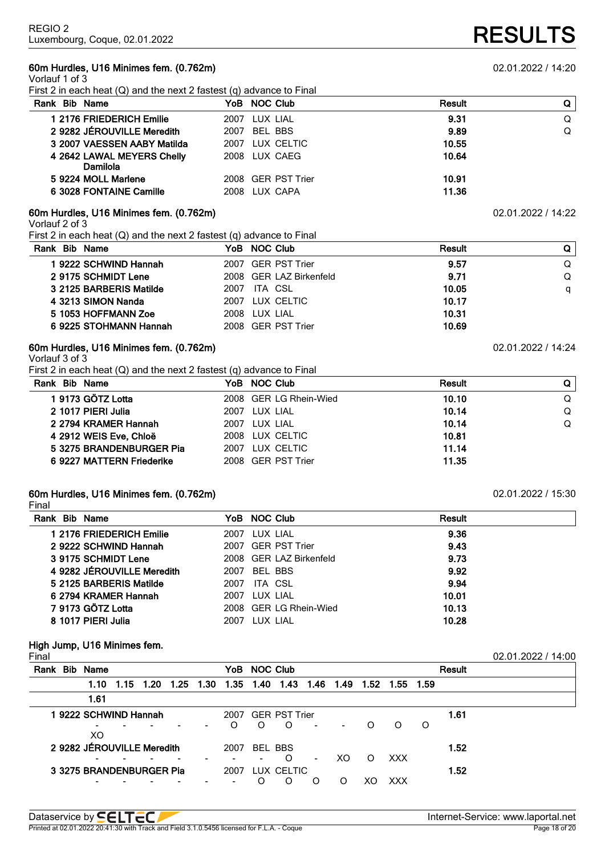# **60m Hurdles, U16 Minimes fem. (0.762m)** 02.01.2022 / 14:20

Vorlauf 1 of 3

First 2 in each heat (Q) and the next 2 fastest (q) advance to Final

| Rank Bib Name                          | YoB NOC Club       | Result | Q |
|----------------------------------------|--------------------|--------|---|
| 1 2176 FRIEDERICH Emilie               | 2007 LUX LIAL      | 9.31   | Q |
| 2 9282 JÉROUVILLE Meredith             | 2007 BEL BBS       | 9.89   | Q |
| 3 2007 VAESSEN AABY Matilda            | 2007 LUX CELTIC    | 10.55  |   |
| 4 2642 LAWAL MEYERS Chelly<br>Damilola | 2008 LUX CAEG      | 10.64  |   |
| 5 9224 MOLL Marlene                    | 2008 GER PST Trier | 10.91  |   |
| 6 3028 FONTAINE Camille                | 2008 LUX CAPA      | 11.36  |   |

# **60m Hurdles, U16 Minimes fem. (0.762m)** 02.01.2022 / 14:22

Vorlauf 2 of 3

First 2 in each heat (Q) and the next 2 fastest (q) advance to Final

| Rank Bib Name           | YoB NOC Club            | <b>Result</b> |   |
|-------------------------|-------------------------|---------------|---|
| 19222 SCHWIND Hannah    | 2007 GER PST Trier      | 9.57          | Q |
| 2 9175 SCHMIDT Lene     | 2008 GER LAZ Birkenfeld | 9.71          | Q |
| 3 2125 BARBERIS Matilde | 2007 ITA CSL            | 10.05         | a |
| 4 3213 SIMON Nanda      | 2007 LUX CELTIC         | 10.17         |   |
| 5 1053 HOFFMANN Zoe     | 2008 LUX LIAL           | 10.31         |   |
| 6 9225 STOHMANN Hannah  | 2008 GER PST Trier      | 10.69         |   |

# **60m Hurdles, U16 Minimes fem. (0.762m)** 02.01.2022 / 14:24

Vorlauf 3 of 3

First 2 in each heat (Q) and the next 2 fastest (q) advance to Final

| Rank Bib Name             | YoB NOC Club           | <b>Result</b> | Q |
|---------------------------|------------------------|---------------|---|
| 19173 GÖTZ Lotta          | 2008 GER LG Rhein-Wied | 10.10         | Q |
| 2 1017 PIERI Julia        | 2007 LUX LIAL          | 10.14         | Q |
| 2 2794 KRAMER Hannah      | 2007 LUX LIAL          | 10.14         | Q |
| 4 2912 WEIS Eve, Chloë    | 2008 LUX CELTIC        | 10.81         |   |
| 5 3275 BRANDENBURGER Pia  | 2007 LUX CELTIC        | 11.14         |   |
| 6 9227 MATTERN Friederike | 2008 GER PST Trier     | 11.35         |   |

# **60m Hurdles, U16 Minimes fem. (0.762m)** 02.01.2022 / 15:30

Final

| Rank Bib Name              | YoB NOC Club     |                         | Result |
|----------------------------|------------------|-------------------------|--------|
| 1 2176 FRIEDERICH Emilie   | 2007 LUX LIAL    |                         | 9.36   |
| 2 9222 SCHWIND Hannah      |                  | 2007 GER PST Trier      | 9.43   |
| 3 9175 SCHMIDT Lene        |                  | 2008 GER LAZ Birkenfeld | 9.73   |
| 4 9282 JÉROUVILLE Meredith | BEL BBS<br>2007  |                         | 9.92   |
| 5 2125 BARBERIS Matilde    | ITA CSL<br>2007  |                         | 9.94   |
| 6 2794 KRAMER Hannah       | 2007 LUX LIAL    |                         | 10.01  |
| 7 9173 GÖTZ Lotta          |                  | 2008 GER LG Rhein-Wied  | 10.13  |
| 8 1017 PIERI Julia         | LUX LIAL<br>2007 |                         | 10.28  |

### **High Jump, U16 Minimes fem.**

| ۰, |  |
|----|--|
|    |  |

| Final |                            |  |                     |      |      |              |                    |                |                          |          |            |   |               | 02.01.2022 / 14:00 |
|-------|----------------------------|--|---------------------|------|------|--------------|--------------------|----------------|--------------------------|----------|------------|---|---------------|--------------------|
|       | Rank Bib Name              |  |                     |      |      | YoB NOC Club |                    |                |                          |          |            |   | <b>Result</b> |                    |
|       |                            |  | 1.10 1.15 1.20 1.25 | 1.30 |      |              |                    |                |                          | 1.52     | 1.55 1.59  |   |               |                    |
|       | 1.61                       |  |                     |      |      |              |                    |                |                          |          |            |   |               |                    |
|       | 19222 SCHWIND Hannah       |  |                     |      |      |              | 2007 GER PST Trier |                |                          |          |            |   | 1.61          |                    |
|       | XO                         |  |                     |      | O    | $\Omega$     | $\Omega$           |                | $\overline{\phantom{0}}$ | $\Omega$ | $\Omega$   | O |               |                    |
|       | 2 9282 JÉROUVILLE Meredith |  |                     |      | 2007 | BEL BBS      |                    |                |                          |          |            |   | 1.52          |                    |
|       |                            |  |                     |      |      |              | O                  | $\blacksquare$ | XO.                      | $\Omega$ | XXX        |   |               |                    |
|       | 3 3275 BRANDENBURGER Pia   |  |                     |      | 2007 |              | LUX CELTIC         |                |                          |          |            |   | 1.52          |                    |
|       |                            |  |                     |      |      | O            | $\Omega$           | O              | ∩                        | xο       | <b>XXX</b> |   |               |                    |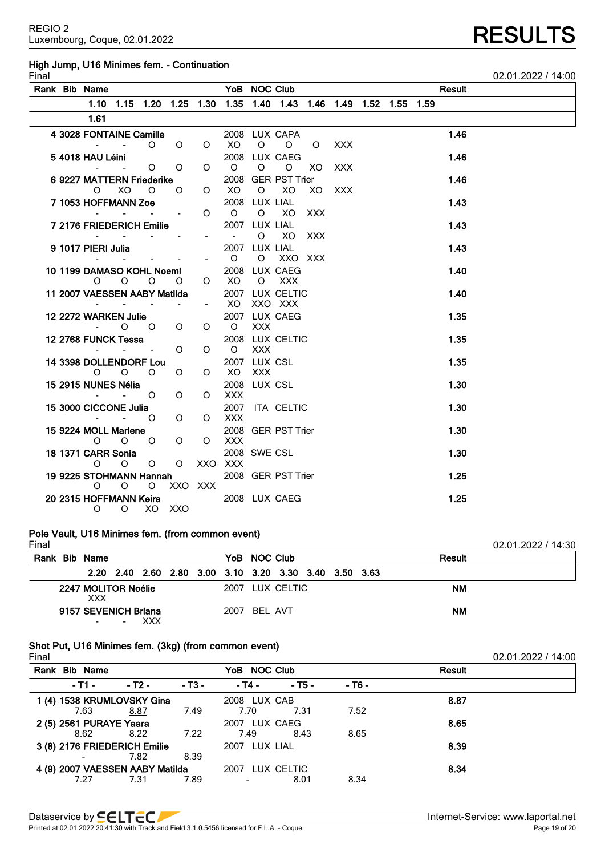# **High Jump, U16 Minimes fem. - Continuation**

| Final |                                         |                                                                       |         |                                             |         |                                                           |            |                                                                  |            |            |  |        | 02.01.2022 / 14:00 |
|-------|-----------------------------------------|-----------------------------------------------------------------------|---------|---------------------------------------------|---------|-----------------------------------------------------------|------------|------------------------------------------------------------------|------------|------------|--|--------|--------------------|
|       | Rank Bib Name <b>Example 2018</b>       |                                                                       |         |                                             |         |                                                           |            | YoB NOC Club                                                     |            |            |  | Result |                    |
|       |                                         |                                                                       |         |                                             |         |                                                           |            | 1.10 1.15 1.20 1.25 1.30 1.35 1.40 1.43 1.46 1.49 1.52 1.55 1.59 |            |            |  |        |                    |
|       | 1.61                                    |                                                                       |         |                                             |         |                                                           |            |                                                                  |            |            |  |        |                    |
|       | 4 3028 FONTAINE Camille                 |                                                                       |         |                                             |         |                                                           |            | 2008 LUX CAPA                                                    |            |            |  | 1.46   |                    |
|       |                                         | <b>Contract Contract Contract</b>                                     |         | $O$ $O$                                     | $\circ$ | XO                                                        | $\circ$    | $\overline{O}$ $\overline{O}$                                    |            | <b>XXX</b> |  |        |                    |
|       | 5 4018 HAU Léini                        |                                                                       |         |                                             |         |                                                           |            | 2008 LUX CAEG                                                    |            |            |  | 1.46   |                    |
|       |                                         |                                                                       | $\circ$ | $\circ$                                     |         | $O$ $O$                                                   | $\circ$    | $\circ$                                                          | XO         | <b>XXX</b> |  |        |                    |
|       | 6 9227 MATTERN Friederike               | $0 \times 0$                                                          |         | $\mathsf{O}$                                |         | $O$ XO                                                    |            | 2008 GER PST Trier<br>O XO XO XXX                                |            |            |  | 1.46   |                    |
|       | 7 1053 HOFFMANN Zoe                     |                                                                       |         |                                             |         | 2008 LUX LIAL                                             |            |                                                                  |            |            |  | 1.43   |                    |
|       |                                         | $\mathbf{u}$ , and $\mathbf{u}$ , and $\mathbf{u}$ , and $\mathbf{u}$ |         |                                             |         | $O$ $O$                                                   |            | O XO XXX                                                         |            |            |  |        |                    |
|       | 7 2176 FRIEDERICH Emilie                |                                                                       |         |                                             |         | 2007 LUX LIAL                                             |            |                                                                  |            |            |  | 1.43   |                    |
|       |                                         | the company of the company of                                         |         | $\omega_{\rm{max}}$ and $\omega_{\rm{max}}$ |         | $\mathcal{L}_{\text{max}}$ and $\mathcal{L}_{\text{max}}$ | $\circ$    | XO                                                               | <b>XXX</b> |            |  |        |                    |
|       | 9 1017 PIERI Julia                      |                                                                       |         |                                             |         | 2007 LUX LIAL                                             |            |                                                                  |            |            |  | 1.43   |                    |
|       |                                         | and the state of the state                                            |         |                                             | $   0$  |                                                           |            | O XXO XXX                                                        |            |            |  |        |                    |
|       | 10 1199 DAMASO KOHL Noemi 2008 LUX CAEG | $0$ 0 0 0 0 $\times$                                                  |         |                                             |         |                                                           |            |                                                                  |            |            |  | 1.40   |                    |
|       | 11 2007 VAESSEN AABY Matilda            |                                                                       |         |                                             |         |                                                           |            | O XXX<br>2007 LUX CELTIC                                         |            |            |  | 1.40   |                    |
|       | <b>All Street</b>                       |                                                                       |         | and the state of the state                  |         | $- XO$                                                    |            | XXO XXX                                                          |            |            |  |        |                    |
|       | 12 2272 WARKEN Julie                    |                                                                       |         |                                             |         |                                                           |            | 2007 LUX CAEG                                                    |            |            |  | 1.35   |                    |
|       |                                         | $-$ 0 0                                                               |         | $\overline{O}$                              |         | $O$ $O$                                                   | <b>XXX</b> |                                                                  |            |            |  |        |                    |
|       | 12 2768 FUNCK Tessa                     |                                                                       |         |                                             |         |                                                           |            | 2008 LUX CELTIC                                                  |            |            |  | 1.35   |                    |
|       |                                         | And the Company of the Company of                                     |         | $\circ$                                     | $\circ$ | O XXX                                                     |            |                                                                  |            |            |  |        |                    |
|       | 14 3398 DOLLENDORF Lou                  |                                                                       |         |                                             |         | 2007 LUX CSL                                              |            |                                                                  |            |            |  | 1.35   |                    |
|       |                                         | $O$ 0 0                                                               |         | $\circ$                                     | O       | XO XXX                                                    |            |                                                                  |            |            |  |        |                    |
|       | 15 2915 NUNES Nélia                     | $  0$                                                                 |         | $\circ$                                     | $\circ$ | <b>2008 LUX CSL</b><br><b>XXX</b>                         |            |                                                                  |            |            |  | 1.30   |                    |
|       | 15 3000 CICCONE Julia                   |                                                                       |         |                                             |         |                                                           |            | 2007 ITA CELTIC                                                  |            |            |  | 1.30   |                    |
|       | $\sim$ $\sim$ $\sim$ 0                  |                                                                       |         | $\circ$                                     | $\circ$ | <b>XXX</b>                                                |            |                                                                  |            |            |  |        |                    |
|       | 15 9224 MOLL Marlene                    |                                                                       |         |                                             |         |                                                           |            | 2008 GER PST Trier                                               |            |            |  | 1.30   |                    |
|       |                                         | $O$ $O$ $O$                                                           |         | $\circ$                                     |         | O XXX                                                     |            |                                                                  |            |            |  |        |                    |
|       | 18 1371 CARR Sonia                      |                                                                       |         |                                             |         | <b>2008 SWE CSL</b>                                       |            |                                                                  |            |            |  | 1.30   |                    |
|       |                                         | $O$ $O$                                                               | $\circ$ | $\circ$                                     | XXO XXX |                                                           |            |                                                                  |            |            |  |        |                    |
|       | 19 9225 STOHMANN Hannah<br>O            | $\overline{O}$                                                        | $\circ$ |                                             | XXO XXX |                                                           |            | 2008 GER PST Trier                                               |            |            |  | 1.25   |                    |
|       | 20 2315 HOFFMANN Keira                  |                                                                       |         |                                             |         |                                                           |            | 2008 LUX CAEG                                                    |            |            |  | 1.25   |                    |
|       |                                         | O O XO XXO                                                            |         |                                             |         |                                                           |            |                                                                  |            |            |  |        |                    |
|       |                                         |                                                                       |         |                                             |         |                                                           |            |                                                                  |            |            |  |        |                    |

# **Pole Vault, U16 Minimes fem. (from common event)**

| Final |                                   |            |  |              |                                                        |  |               | 02.01.2022 / 14:30 |
|-------|-----------------------------------|------------|--|--------------|--------------------------------------------------------|--|---------------|--------------------|
|       | Rank Bib Name                     |            |  | YoB NOC Club |                                                        |  | <b>Result</b> |                    |
|       |                                   |            |  |              | 2.20 2.40 2.60 2.80 3.00 3.10 3.20 3.30 3.40 3.50 3.63 |  |               |                    |
|       | 2247 MOLITOR Noélie<br><b>XXX</b> |            |  |              | 2007 LUX CELTIC                                        |  | ΝM            |                    |
|       | 9157 SEVENICH Briana              | <b>XXX</b> |  | 2007 BEL AVT |                                                        |  | <b>NM</b>     |                    |

# **Shot Put, U16 Minimes fem. (3kg) (from common event)**

| Final |               |                                 |        |                 |            |        |        | 02.01.2022 / 14:00 |
|-------|---------------|---------------------------------|--------|-----------------|------------|--------|--------|--------------------|
|       | Rank Bib Name |                                 |        | YoB NOC Club    |            |        | Result |                    |
|       | - T1 -        | - T2 -                          | $-13-$ | - T4 -          | $-$ T5 $-$ | - T6 - |        |                    |
|       |               | 1 (4) 1538 KRUMLOVSKY Gina      |        | 2008 LUX CAB    |            |        | 8.87   |                    |
|       | 7.63          | 8.87                            | 7.49   | 7.70            | 7.31       | 7.52   |        |                    |
|       |               | 2 (5) 2561 PURAYE Yaara         |        | 2007 LUX CAEG   |            |        | 8.65   |                    |
|       | 8.62          | 8.22                            | 7.22   | 7.49            | 8.43       | 8.65   |        |                    |
|       |               | 3 (8) 2176 FRIEDERICH Emilie    |        | 2007 LUX LIAL   |            |        | 8.39   |                    |
|       |               | 7.82                            | 8.39   |                 |            |        |        |                    |
|       |               | 4 (9) 2007 VAESSEN AABY Matilda |        | 2007 LUX CELTIC |            |        | 8.34   |                    |
|       | 7.27          | 7.31                            | 7.89   |                 | 8.01       | 8.34   |        |                    |